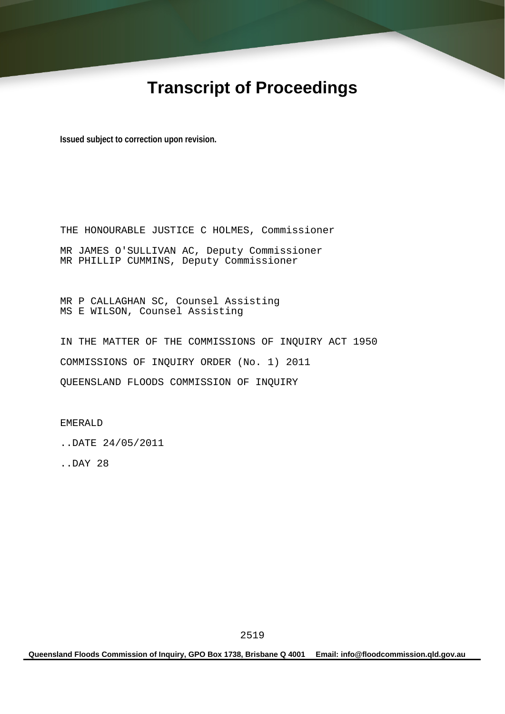# **Transcript of Proceedings**

**Issued subject to correction upon revision.** 

THE HONOURABLE JUSTICE C HOLMES, Commissioner MR JAMES O'SULLIVAN AC, Deputy Commissioner MR PHILLIP CUMMINS, Deputy Commissioner

MR P CALLAGHAN SC, Counsel Assisting MS E WILSON, Counsel Assisting

IN THE MATTER OF THE COMMISSIONS OF INQUIRY ACT 1950 COMMISSIONS OF INQUIRY ORDER (No. 1) 2011 QUEENSLAND FLOODS COMMISSION OF INQUIRY

EMERALD

..DATE 24/05/2011

..DAY 28

**Queensland Floods Commission of Inquiry, GPO Box 1738, Brisbane Q 4001 Email: info@floodcommission.qld.gov.au**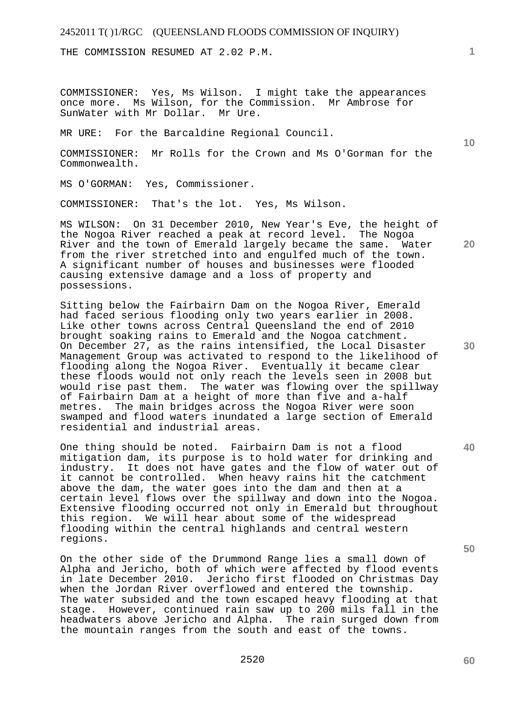THE COMMISSION RESUMED AT 2.02 P.M.

COMMISSIONER: Yes, Ms Wilson. I might take the appearances once more. Ms Wilson, for the Commission. Mr Ambrose for SunWater with Mr Dollar. Mr Ure.

MR URE: For the Barcaldine Regional Council.

COMMISSIONER: Mr Rolls for the Crown and Ms O'Gorman for the Commonwealth.

MS O'GORMAN: Yes, Commissioner.

COMMISSIONER: That's the lot. Yes, Ms Wilson.

MS WILSON: On 31 December 2010, New Year's Eve, the height of the Nogoa River reached a peak at record level. The Nogoa River and the town of Emerald largely became the same. Water from the river stretched into and engulfed much of the town. A significant number of houses and businesses were flooded causing extensive damage and a loss of property and possessions.

Sitting below the Fairbairn Dam on the Nogoa River, Emerald had faced serious flooding only two years earlier in 2008. Like other towns across Central Queensland the end of 2010 brought soaking rains to Emerald and the Nogoa catchment. On December 27, as the rains intensified, the Local Disaster Management Group was activated to respond to the likelihood of flooding along the Nogoa River. Eventually it became clear these floods would not only reach the levels seen in 2008 but would rise past them. The water was flowing over the spillway of Fairbairn Dam at a height of more than five and a-half metres. The main bridges across the Nogoa River were soon swamped and flood waters inundated a large section of Emerald residential and industrial areas.

One thing should be noted. Fairbairn Dam is not a flood mitigation dam, its purpose is to hold water for drinking and industry. It does not have gates and the flow of water out of it cannot be controlled. When heavy rains hit the catchment above the dam, the water goes into the dam and then at a certain level flows over the spillway and down into the Nogoa. Extensive flooding occurred not only in Emerald but throughout this region. We will hear about some of the widespread flooding within the central highlands and central western regions.

On the other side of the Drummond Range lies a small down of Alpha and Jericho, both of which were affected by flood events in late December 2010. Jericho first flooded on Christmas Day when the Jordan River overflowed and entered the township. The water subsided and the town escaped heavy flooding at that stage. However, continued rain saw up to 200 mils fall in the headwaters above Jericho and Alpha. The rain surged down from the mountain ranges from the south and east of the towns.

**50** 

**60** 

**20** 

**40** 

**10**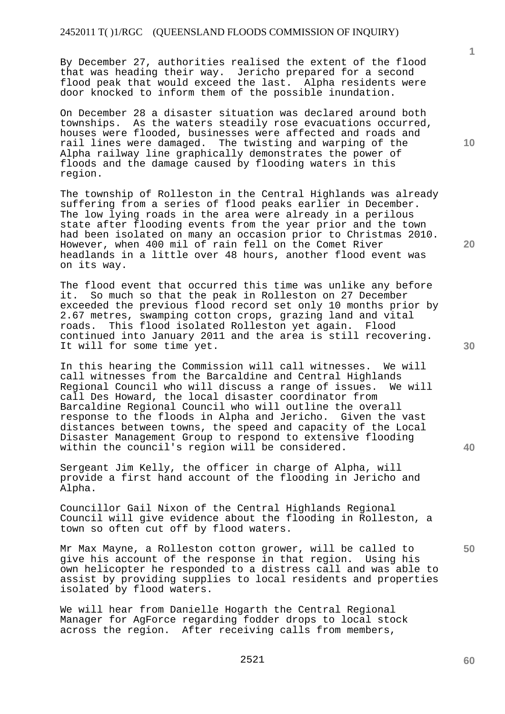By December 27, authorities realised the extent of the flood that was heading their way. Jericho prepared for a second flood peak that would exceed the last. Alpha residents were door knocked to inform them of the possible inundation.

On December 28 a disaster situation was declared around both townships. As the waters steadily rose evacuations occurred, houses were flooded, businesses were affected and roads and rail lines were damaged. The twisting and warping of the Alpha railway line graphically demonstrates the power of floods and the damage caused by flooding waters in this region.

The township of Rolleston in the Central Highlands was already suffering from a series of flood peaks earlier in December. The low lying roads in the area were already in a perilous state after flooding events from the year prior and the town had been isolated on many an occasion prior to Christmas 2010. However, when 400 mil of rain fell on the Comet River headlands in a little over 48 hours, another flood event was on its way.

The flood event that occurred this time was unlike any before<br>it. So much so that the peak in Rolleston on 27 December So much so that the peak in Rolleston on 27 December exceeded the previous flood record set only 10 months prior by 2.67 metres, swamping cotton crops, grazing land and vital roads. This flood isolated Rolleston yet again. Flood continued into January 2011 and the area is still recovering. It will for some time yet.

In this hearing the Commission will call witnesses. We will call witnesses from the Barcaldine and Central Highlands Regional Council who will discuss a range of issues. We will call Des Howard, the local disaster coordinator from Barcaldine Regional Council who will outline the overall response to the floods in Alpha and Jericho. Given the vast distances between towns, the speed and capacity of the Local Disaster Management Group to respond to extensive flooding within the council's region will be considered.

Sergeant Jim Kelly, the officer in charge of Alpha, will provide a first hand account of the flooding in Jericho and Alpha.

Councillor Gail Nixon of the Central Highlands Regional Council will give evidence about the flooding in Rolleston, a town so often cut off by flood waters.

Mr Max Mayne, a Rolleston cotton grower, will be called to give his account of the response in that region. Using his own helicopter he responded to a distress call and was able to assist by providing supplies to local residents and properties isolated by flood waters.

We will hear from Danielle Hogarth the Central Regional Manager for AgForce regarding fodder drops to local stock across the region. After receiving calls from members,

**10** 

**1**

**20** 

**30** 

**40**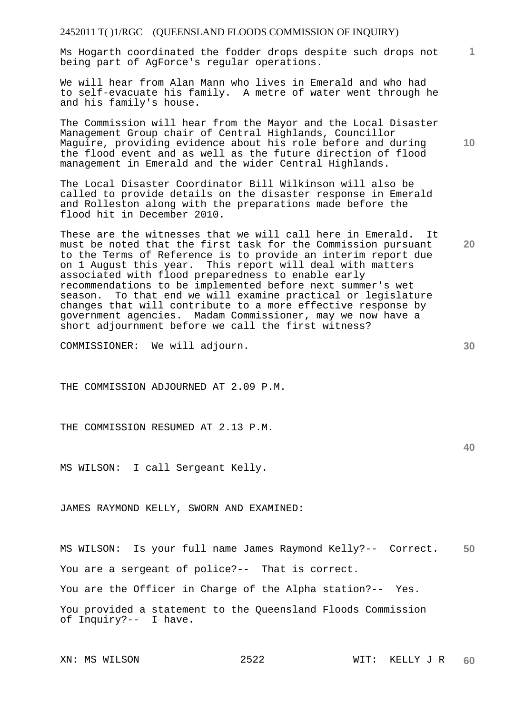Ms Hogarth coordinated the fodder drops despite such drops not being part of AgForce's regular operations.

We will hear from Alan Mann who lives in Emerald and who had to self-evacuate his family. A metre of water went through he and his family's house.

The Commission will hear from the Mayor and the Local Disaster Management Group chair of Central Highlands, Councillor Maguire, providing evidence about his role before and during the flood event and as well as the future direction of flood management in Emerald and the wider Central Highlands.

The Local Disaster Coordinator Bill Wilkinson will also be called to provide details on the disaster response in Emerald and Rolleston along with the preparations made before the flood hit in December 2010.

These are the witnesses that we will call here in Emerald. It must be noted that the first task for the Commission pursuant to the Terms of Reference is to provide an interim report due on 1 August this year. This report will deal with matters associated with flood preparedness to enable early recommendations to be implemented before next summer's wet season. To that end we will examine practical or legislature changes that will contribute to a more effective response by government agencies. Madam Commissioner, may we now have a short adjournment before we call the first witness?

COMMISSIONER: We will adjourn.

THE COMMISSION ADJOURNED AT 2.09 P.M.

THE COMMISSION RESUMED AT 2.13 P.M.

MS WILSON: I call Sergeant Kelly.

JAMES RAYMOND KELLY, SWORN AND EXAMINED:

**50**  MS WILSON: Is your full name James Raymond Kelly?-- Correct. You are a sergeant of police?-- That is correct. You are the Officer in Charge of the Alpha station?-- Yes. You provided a statement to the Queensland Floods Commission of Inquiry?-- I have.

**30** 

**20** 

**1**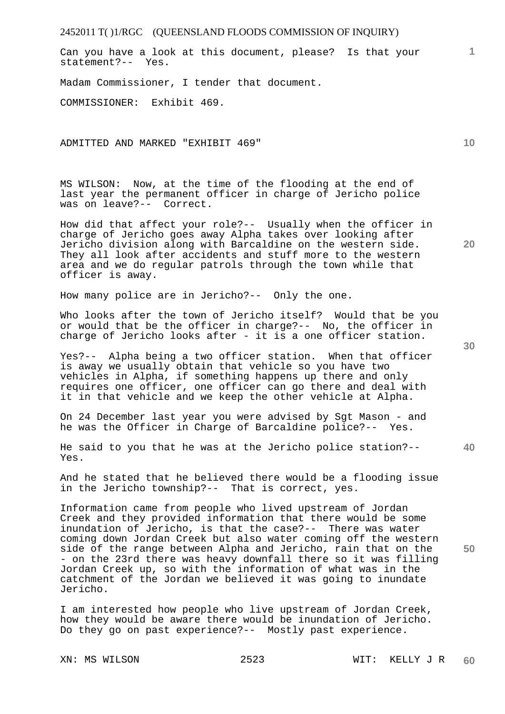Can you have a look at this document, please? Is that your statement?-- Yes.

Madam Commissioner, I tender that document.

COMMISSIONER: Exhibit 469.

ADMITTED AND MARKED "EXHIBIT 469"

MS WILSON: Now, at the time of the flooding at the end of last year the permanent officer in charge of Jericho police was on leave?-- Correct.

How did that affect your role?-- Usually when the officer in charge of Jericho goes away Alpha takes over looking after Jericho division along with Barcaldine on the western side. They all look after accidents and stuff more to the western area and we do regular patrols through the town while that officer is away.

How many police are in Jericho?-- Only the one.

Who looks after the town of Jericho itself? Would that be you or would that be the officer in charge?-- No, the officer in charge of Jericho looks after - it is a one officer station.

Yes?-- Alpha being a two officer station. When that officer is away we usually obtain that vehicle so you have two vehicles in Alpha, if something happens up there and only requires one officer, one officer can go there and deal with it in that vehicle and we keep the other vehicle at Alpha.

On 24 December last year you were advised by Sgt Mason - and he was the Officer in Charge of Barcaldine police?-- Yes.

He said to you that he was at the Jericho police station?-- Yes.

And he stated that he believed there would be a flooding issue in the Jericho township?-- That is correct, yes.

Information came from people who lived upstream of Jordan Creek and they provided information that there would be some inundation of Jericho, is that the case?-- There was water coming down Jordan Creek but also water coming off the western side of the range between Alpha and Jericho, rain that on the - on the 23rd there was heavy downfall there so it was filling Jordan Creek up, so with the information of what was in the catchment of the Jordan we believed it was going to inundate Jericho.

I am interested how people who live upstream of Jordan Creek, how they would be aware there would be inundation of Jericho. Do they go on past experience?-- Mostly past experience.

**20** 

**10** 

**1**

**30**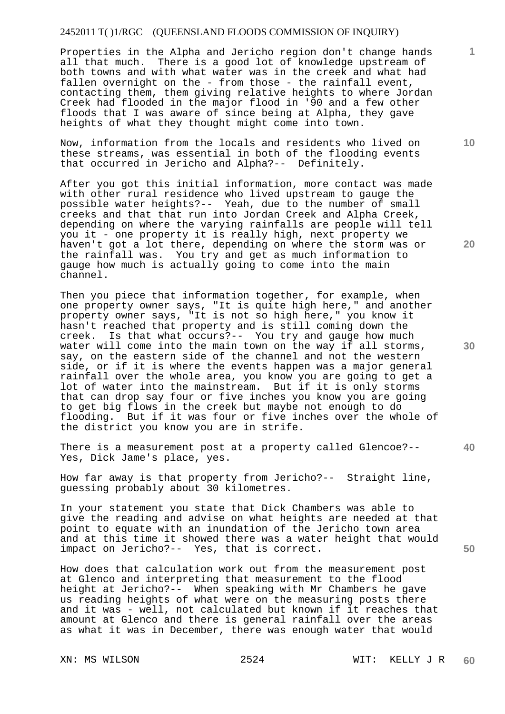Properties in the Alpha and Jericho region don't change hands all that much. There is a good lot of knowledge upstream of both towns and with what water was in the creek and what had fallen overnight on the - from those - the rainfall event, contacting them, them giving relative heights to where Jordan Creek had flooded in the major flood in '90 and a few other floods that I was aware of since being at Alpha, they gave heights of what they thought might come into town.

Now, information from the locals and residents who lived on these streams, was essential in both of the flooding events that occurred in Jericho and Alpha?-- Definitely.

After you got this initial information, more contact was made with other rural residence who lived upstream to gauge the possible water heights?-- Yeah, due to the number of small creeks and that that run into Jordan Creek and Alpha Creek, depending on where the varying rainfalls are people will tell you it - one property it is really high, next property we haven't got a lot there, depending on where the storm was or the rainfall was. You try and get as much information to gauge how much is actually going to come into the main channel.

Then you piece that information together, for example, when one property owner says, "It is quite high here," and another property owner says, "It is not so high here," you know it hasn't reached that property and is still coming down the creek. Is that what occurs?-- You try and gauge how much water will come into the main town on the way if all storms, say, on the eastern side of the channel and not the western side, or if it is where the events happen was a major general rainfall over the whole area, you know you are going to get a lot of water into the mainstream. But if it is only storms that can drop say four or five inches you know you are going to get big flows in the creek but maybe not enough to do flooding. But if it was four or five inches over the whole of the district you know you are in strife.

There is a measurement post at a property called Glencoe?-- Yes, Dick Jame's place, yes.

How far away is that property from Jericho?-- Straight line, guessing probably about 30 kilometres.

In your statement you state that Dick Chambers was able to give the reading and advise on what heights are needed at that point to equate with an inundation of the Jericho town area and at this time it showed there was a water height that would impact on Jericho?-- Yes, that is correct.

How does that calculation work out from the measurement post at Glenco and interpreting that measurement to the flood height at Jericho?-- When speaking with Mr Chambers he gave us reading heights of what were on the measuring posts there and it was - well, not calculated but known if it reaches that amount at Glenco and there is general rainfall over the areas as what it was in December, there was enough water that would

**10** 

**1**

**20** 

**30** 

**40**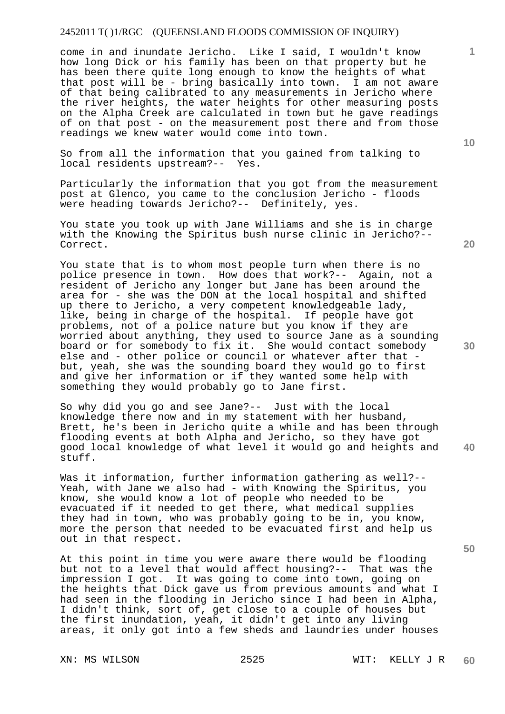come in and inundate Jericho. Like I said, I wouldn't know how long Dick or his family has been on that property but he has been there quite long enough to know the heights of what that post will be - bring basically into town. I am not aware of that being calibrated to any measurements in Jericho where the river heights, the water heights for other measuring posts on the Alpha Creek are calculated in town but he gave readings of on that post - on the measurement post there and from those readings we knew water would come into town.

So from all the information that you gained from talking to local residents upstream?-- Yes.

Particularly the information that you got from the measurement post at Glenco, you came to the conclusion Jericho - floods were heading towards Jericho?-- Definitely, yes.

You state you took up with Jane Williams and she is in charge with the Knowing the Spiritus bush nurse clinic in Jericho?-- Correct.

You state that is to whom most people turn when there is no police presence in town. How does that work?-- Again, not a resident of Jericho any longer but Jane has been around the area for - she was the DON at the local hospital and shifted up there to Jericho, a very competent knowledgeable lady, like, being in charge of the hospital. If people have got problems, not of a police nature but you know if they are worried about anything, they used to source Jane as a sounding board or for somebody to fix it. She would contact somebody else and - other police or council or whatever after that but, yeah, she was the sounding board they would go to first and give her information or if they wanted some help with something they would probably go to Jane first.

So why did you go and see Jane?-- Just with the local knowledge there now and in my statement with her husband, Brett, he's been in Jericho quite a while and has been through flooding events at both Alpha and Jericho, so they have got good local knowledge of what level it would go and heights and stuff.

Was it information, further information gathering as well?-- Yeah, with Jane we also had - with Knowing the Spiritus, you know, she would know a lot of people who needed to be evacuated if it needed to get there, what medical supplies they had in town, who was probably going to be in, you know, more the person that needed to be evacuated first and help us out in that respect.

At this point in time you were aware there would be flooding but not to a level that would affect housing?-- That was the impression I got. It was going to come into town, going on the heights that Dick gave us from previous amounts and what I had seen in the flooding in Jericho since I had been in Alpha, I didn't think, sort of, get close to a couple of houses but the first inundation, yeah, it didn't get into any living areas, it only got into a few sheds and laundries under houses

**20** 

**10** 

**40** 

**50**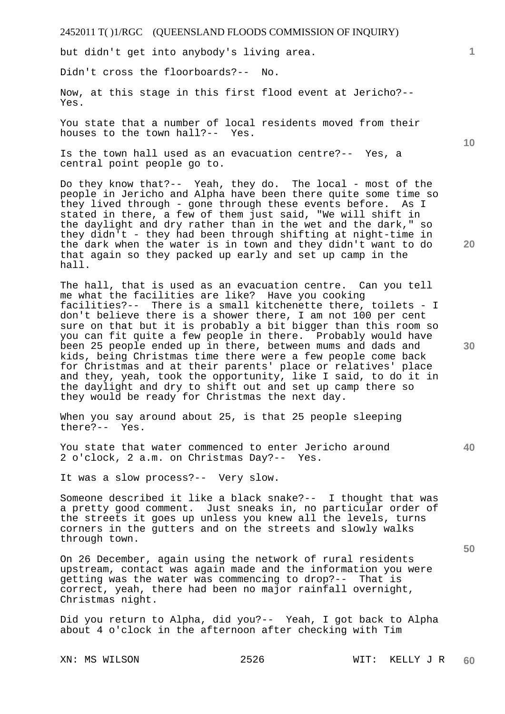but didn't get into anybody's living area.

Didn't cross the floorboards?-- No.

Now, at this stage in this first flood event at Jericho?-- Yes.

You state that a number of local residents moved from their houses to the town hall?-- Yes.

Is the town hall used as an evacuation centre?-- Yes, a central point people go to.

Do they know that?-- Yeah, they do. The local - most of the people in Jericho and Alpha have been there quite some time so they lived through - gone through these events before. As I stated in there, a few of them just said, "We will shift in the daylight and dry rather than in the wet and the dark," so they didn't - they had been through shifting at night-time in the dark when the water is in town and they didn't want to do that again so they packed up early and set up camp in the hall.

The hall, that is used as an evacuation centre. Can you tell me what the facilities are like? Have you cooking facilities?-- There is a small kitchenette there, toilets - I don't believe there is a shower there, I am not 100 per cent sure on that but it is probably a bit bigger than this room so you can fit quite a few people in there. Probably would have been 25 people ended up in there, between mums and dads and kids, being Christmas time there were a few people come back for Christmas and at their parents' place or relatives' place and they, yeah, took the opportunity, like I said, to do it in the daylight and dry to shift out and set up camp there so they would be ready for Christmas the next day.

When you say around about 25, is that 25 people sleeping there?-- Yes.

You state that water commenced to enter Jericho around 2 o'clock, 2 a.m. on Christmas Day?-- Yes.

It was a slow process?-- Very slow.

Someone described it like a black snake?-- I thought that was a pretty good comment. Just sneaks in, no particular order of the streets it goes up unless you knew all the levels, turns corners in the gutters and on the streets and slowly walks through town.

On 26 December, again using the network of rural residents upstream, contact was again made and the information you were getting was the water was commencing to drop?-- That is correct, yeah, there had been no major rainfall overnight, Christmas night.

Did you return to Alpha, did you?-- Yeah, I got back to Alpha about 4 o'clock in the afternoon after checking with Tim

**10** 

**1**

**20** 

**30** 

**40**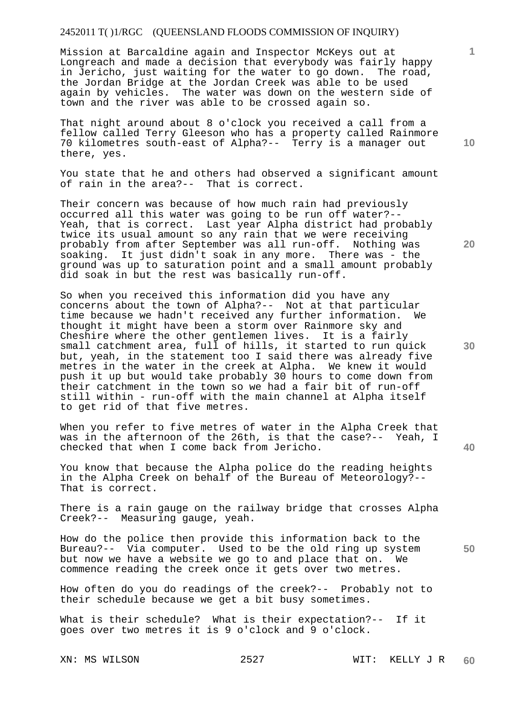Mission at Barcaldine again and Inspector McKeys out at Longreach and made a decision that everybody was fairly happy<br>in Jericho, just waiting for the water to go down. The road, in Jericho, just waiting for the water to go down. the Jordan Bridge at the Jordan Creek was able to be used again by vehicles. The water was down on the western side of town and the river was able to be crossed again so.

That night around about 8 o'clock you received a call from a fellow called Terry Gleeson who has a property called Rainmore 70 kilometres south-east of Alpha?-- Terry is a manager out there, yes.

You state that he and others had observed a significant amount of rain in the area?-- That is correct.

Their concern was because of how much rain had previously occurred all this water was going to be run off water?-- Yeah, that is correct. Last year Alpha district had probably twice its usual amount so any rain that we were receiving probably from after September was all run-off. Nothing was soaking. It just didn't soak in any more. There was - the ground was up to saturation point and a small amount probably did soak in but the rest was basically run-off.

So when you received this information did you have any concerns about the town of Alpha?-- Not at that particular time because we hadn't received any further information. We thought it might have been a storm over Rainmore sky and Cheshire where the other gentlemen lives. It is a fairly small catchment area, full of hills, it started to run quick but, yeah, in the statement too I said there was already five metres in the water in the creek at Alpha. We knew it would push it up but would take probably 30 hours to come down from their catchment in the town so we had a fair bit of run-off still within - run-off with the main channel at Alpha itself to get rid of that five metres.

When you refer to five metres of water in the Alpha Creek that was in the afternoon of the 26th, is that the case?-- Yeah, I checked that when I come back from Jericho.

You know that because the Alpha police do the reading heights in the Alpha Creek on behalf of the Bureau of Meteorology?-- That is correct.

There is a rain gauge on the railway bridge that crosses Alpha Creek?-- Measuring gauge, yeah.

How do the police then provide this information back to the Bureau?-- Via computer. Used to be the old ring up system but now we have a website we go to and place that on. We commence reading the creek once it gets over two metres.

How often do you do readings of the creek?-- Probably not to their schedule because we get a bit busy sometimes.

What is their schedule? What is their expectation?-- If it goes over two metres it is 9 o'clock and 9 o'clock.

**10** 

**1**

**30** 

**20** 

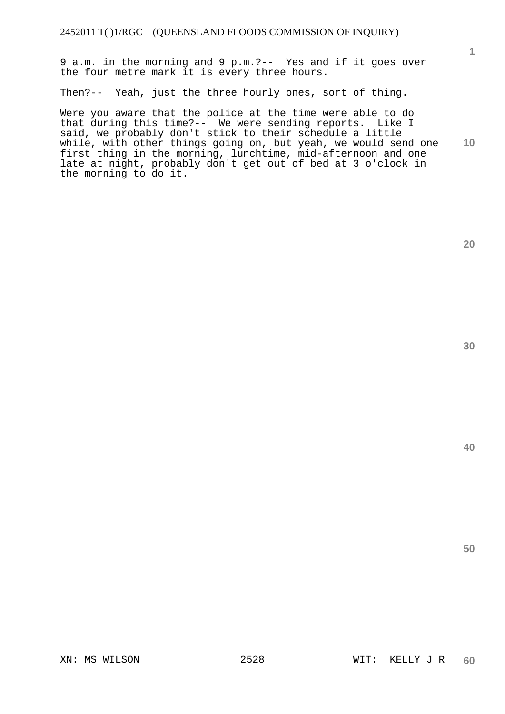9 a.m. in the morning and 9 p.m.?-- Yes and if it goes over the four metre mark it is every three hours.

Then?-- Yeah, just the three hourly ones, sort of thing.

**10**  Were you aware that the police at the time were able to do that during this time?-- We were sending reports. Like I said, we probably don't stick to their schedule a little while, with other things going on, but yeah, we would send one first thing in the morning, lunchtime, mid-afternoon and one late at night, probably don't get out of bed at 3 o'clock in the morning to do it.

**20** 

**1**

**30** 

**40**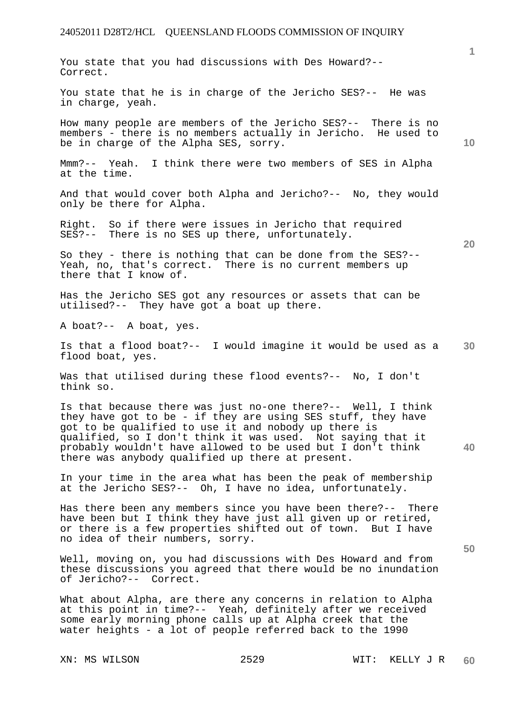You state that you had discussions with Des Howard?--

**30**  Correct. You state that he is in charge of the Jericho SES?-- He was in charge, yeah. How many people are members of the Jericho SES?-- There is no members - there is no members actually in Jericho. He used to be in charge of the Alpha SES, sorry. Mmm?-- Yeah. I think there were two members of SES in Alpha at the time. And that would cover both Alpha and Jericho?-- No, they would only be there for Alpha. Right. So if there were issues in Jericho that required SES?-- There is no SES up there, unfortunately. So they - there is nothing that can be done from the SES?-- Yeah, no, that's correct. There is no current members up there that I know of. Has the Jericho SES got any resources or assets that can be utilised?-- They have got a boat up there. A boat?-- A boat, yes. Is that a flood boat?-- I would imagine it would be used as a flood boat, yes. Was that utilised during these flood events?-- No, I don't Is that because there was just no-one there?-- Well, I think

think so.

they have got to be - if they are using SES stuff, they have got to be qualified to use it and nobody up there is qualified, so I don't think it was used. Not saying that it probably wouldn't have allowed to be used but I don't think there was anybody qualified up there at present.

In your time in the area what has been the peak of membership at the Jericho SES?-- Oh, I have no idea, unfortunately.

Has there been any members since you have been there?-- There have been but I think they have just all given up or retired, or there is a few properties shifted out of town. But I have no idea of their numbers, sorry.

Well, moving on, you had discussions with Des Howard and from these discussions you agreed that there would be no inundation of Jericho?-- Correct.

What about Alpha, are there any concerns in relation to Alpha at this point in time?-- Yeah, definitely after we received some early morning phone calls up at Alpha creek that the water heights - a lot of people referred back to the 1990

**10** 

**1**

**40**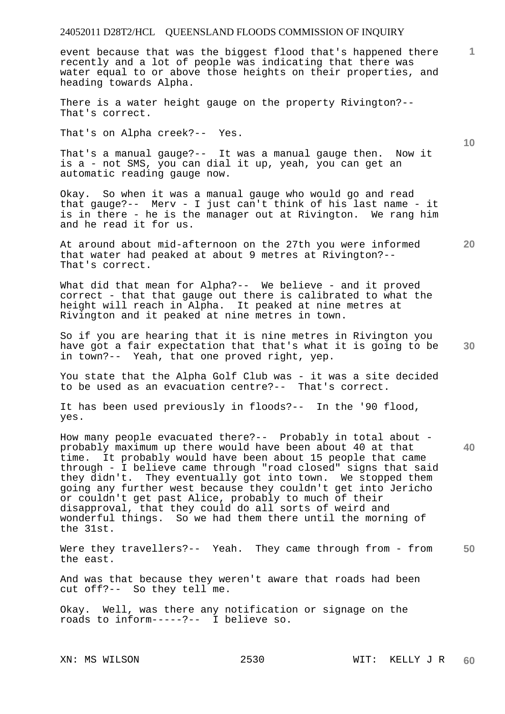event because that was the biggest flood that's happened there recently and a lot of people was indicating that there was water equal to or above those heights on their properties, and heading towards Alpha.

There is a water height gauge on the property Rivington?-- That's correct.

That's on Alpha creek?-- Yes.

That's a manual gauge?-- It was a manual gauge then. Now it is a - not SMS, you can dial it up, yeah, you can get an automatic reading gauge now.

Okay. So when it was a manual gauge who would go and read that gauge?-- Merv - I just can't think of his last name - it is in there - he is the manager out at Rivington. We rang him and he read it for us.

At around about mid-afternoon on the 27th you were informed that water had peaked at about 9 metres at Rivington?-- That's correct.

What did that mean for Alpha?-- We believe - and it proved correct - that that gauge out there is calibrated to what the height will reach in Alpha. It peaked at nine metres at Rivington and it peaked at nine metres in town.

**30**  So if you are hearing that it is nine metres in Rivington you have got a fair expectation that that's what it is going to be in town?-- Yeah, that one proved right, yep.

You state that the Alpha Golf Club was - it was a site decided to be used as an evacuation centre?-- That's correct.

It has been used previously in floods?-- In the '90 flood, yes.

**40**  How many people evacuated there?-- Probably in total about probably maximum up there would have been about 40 at that time. It probably would have been about 15 people that came through - I believe came through "road closed" signs that said they didn't. They eventually got into town. We stopped them going any further west because they couldn't get into Jericho or couldn't get past Alice, probably to much of their disapproval, that they could do all sorts of weird and wonderful things. So we had them there until the morning of the 31st.

**50**  Were they travellers?-- Yeah. They came through from - from the east.

And was that because they weren't aware that roads had been cut off?-- So they tell me.

Okay. Well, was there any notification or signage on the roads to inform-----?-- I believe so.

**10** 

**20**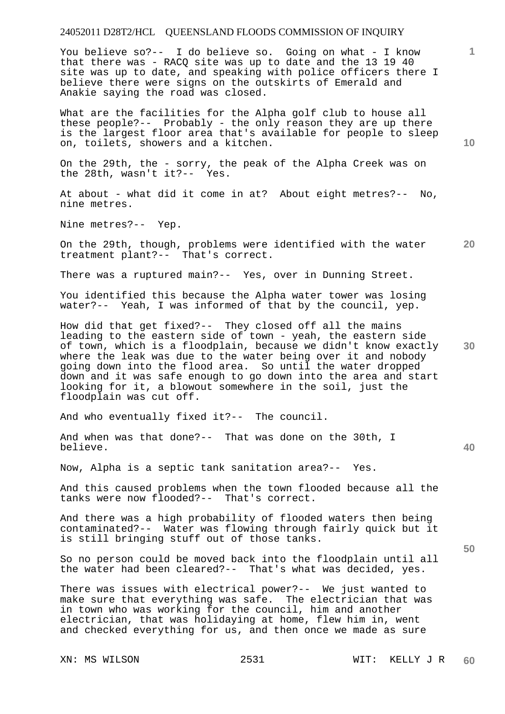You believe so?-- I do believe so. Going on what - I know that there was - RACQ site was up to date and the 13 19 40 site was up to date, and speaking with police officers there I believe there were signs on the outskirts of Emerald and Anakie saying the road was closed.

What are the facilities for the Alpha golf club to house all these people?-- Probably - the only reason they are up there is the largest floor area that's available for people to sleep on, toilets, showers and a kitchen.

On the 29th, the - sorry, the peak of the Alpha Creek was on the 28th, wasn't it?-- Yes.

At about - what did it come in at? About eight metres?-- No, nine metres.

Nine metres?-- Yep.

**20**  On the 29th, though, problems were identified with the water treatment plant?-- That's correct.

There was a ruptured main?-- Yes, over in Dunning Street.

You identified this because the Alpha water tower was losing water?-- Yeah, I was informed of that by the council, yep.

How did that get fixed?-- They closed off all the mains leading to the eastern side of town - yeah, the eastern side of town, which is a floodplain, because we didn't know exactly where the leak was due to the water being over it and nobody going down into the flood area. So until the water dropped down and it was safe enough to go down into the area and start looking for it, a blowout somewhere in the soil, just the floodplain was cut off.

And who eventually fixed it?-- The council.

And when was that done?-- That was done on the 30th, I believe.

Now, Alpha is a septic tank sanitation area?-- Yes.

And this caused problems when the town flooded because all the tanks were now flooded?-- That's correct.

And there was a high probability of flooded waters then being contaminated?-- Water was flowing through fairly quick but it is still bringing stuff out of those tanks.

So no person could be moved back into the floodplain until all the water had been cleared?-- That's what was decided, yes.

There was issues with electrical power?-- We just wanted to make sure that everything was safe. The electrician that was in town who was working for the council, him and another electrician, that was holidaying at home, flew him in, went and checked everything for us, and then once we made as sure

**10** 

**1**

**40** 

**30**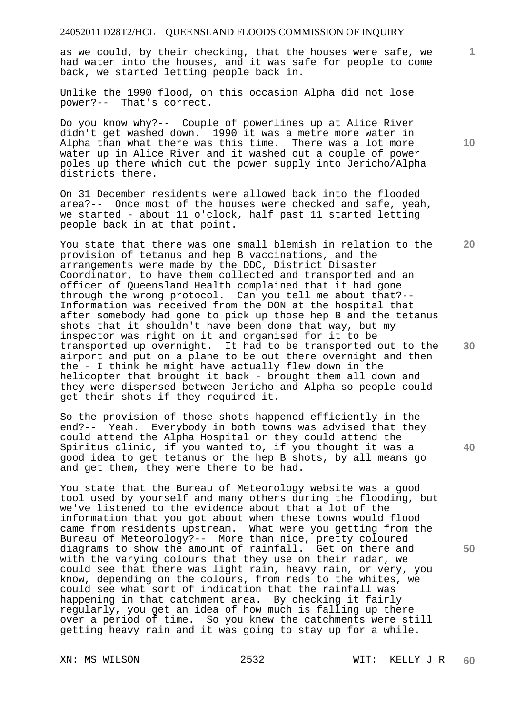as we could, by their checking, that the houses were safe, we had water into the houses, and it was safe for people to come back, we started letting people back in.

Unlike the 1990 flood, on this occasion Alpha did not lose power?-- That's correct.

Do you know why?-- Couple of powerlines up at Alice River didn't get washed down. 1990 it was a metre more water in Alpha than what there was this time. There was a lot more water up in Alice River and it washed out a couple of power poles up there which cut the power supply into Jericho/Alpha districts there.

On 31 December residents were allowed back into the flooded area?-- Once most of the houses were checked and safe, yeah, we started - about 11 o'clock, half past 11 started letting people back in at that point.

You state that there was one small blemish in relation to the provision of tetanus and hep B vaccinations, and the arrangements were made by the DDC, District Disaster Coordinator, to have them collected and transported and an officer of Queensland Health complained that it had gone through the wrong protocol. Can you tell me about that?-- Information was received from the DON at the hospital that after somebody had gone to pick up those hep B and the tetanus shots that it shouldn't have been done that way, but my inspector was right on it and organised for it to be transported up overnight. It had to be transported out to the airport and put on a plane to be out there overnight and then the - I think he might have actually flew down in the helicopter that brought it back - brought them all down and they were dispersed between Jericho and Alpha so people could get their shots if they required it.

So the provision of those shots happened efficiently in the end?-- Yeah. Everybody in both towns was advised that they could attend the Alpha Hospital or they could attend the Spiritus clinic, if you wanted to, if you thought it was a good idea to get tetanus or the hep B shots, by all means go and get them, they were there to be had.

You state that the Bureau of Meteorology website was a good tool used by yourself and many others during the flooding, but we've listened to the evidence about that a lot of the information that you got about when these towns would flood came from residents upstream. What were you getting from the Bureau of Meteorology?-- More than nice, pretty coloured diagrams to show the amount of rainfall. Get on there and with the varying colours that they use on their radar, we could see that there was light rain, heavy rain, or very, you know, depending on the colours, from reds to the whites, we could see what sort of indication that the rainfall was happening in that catchment area. By checking it fairly regularly, you get an idea of how much is falling up there over a period of time. So you knew the catchments were still getting heavy rain and it was going to stay up for a while.

**10** 

**1**

**20** 

**30** 

**40**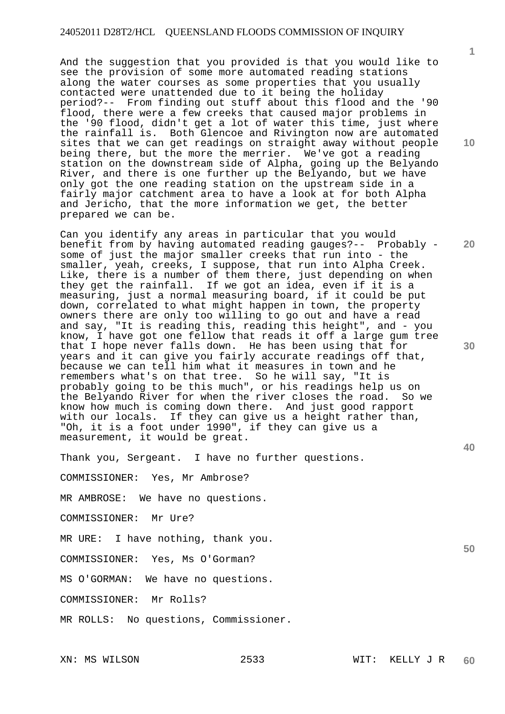And the suggestion that you provided is that you would like to see the provision of some more automated reading stations along the water courses as some properties that you usually contacted were unattended due to it being the holiday period?-- From finding out stuff about this flood and the '90 flood, there were a few creeks that caused major problems in the '90 flood, didn't get a lot of water this time, just where the rainfall is. Both Glencoe and Rivington now are automated sites that we can get readings on straight away without people being there, but the more the merrier. We've got a reading station on the downstream side of Alpha, going up the Belyando River, and there is one further up the Belyando, but we have only got the one reading station on the upstream side in a fairly major catchment area to have a look at for both Alpha and Jericho, that the more information we get, the better prepared we can be.

Can you identify any areas in particular that you would benefit from by having automated reading gauges?-- Probably some of just the major smaller creeks that run into - the smaller, yeah, creeks, I suppose, that run into Alpha Creek. Like, there is a number of them there, just depending on when they get the rainfall. If we got an idea, even if it is a measuring, just a normal measuring board, if it could be put down, correlated to what might happen in town, the property owners there are only too willing to go out and have a read and say, "It is reading this, reading this height", and - you know, I have got one fellow that reads it off a large gum tree that I hope never falls down. He has been using that for years and it can give you fairly accurate readings off that, because we can tell him what it measures in town and he remembers what's on that tree. So he will say, "It is probably going to be this much", or his readings help us on the Belyando River for when the river closes the road. So we know how much is coming down there. And just good rapport with our locals. If they can give us a height rather than, "Oh, it is a foot under 1990", if they can give us a measurement, it would be great.

Thank you, Sergeant. I have no further questions.

COMMISSIONER: Yes, Mr Ambrose?

MR AMBROSE: We have no questions.

COMMISSIONER: Mr Ure?

MR URE: I have nothing, thank you.

COMMISSIONER: Yes, Ms O'Gorman?

MS O'GORMAN: We have no questions.

COMMISSIONER: Mr Rolls?

MR ROLLS: No questions, Commissioner.

**10** 

**20** 

**40** 

**50**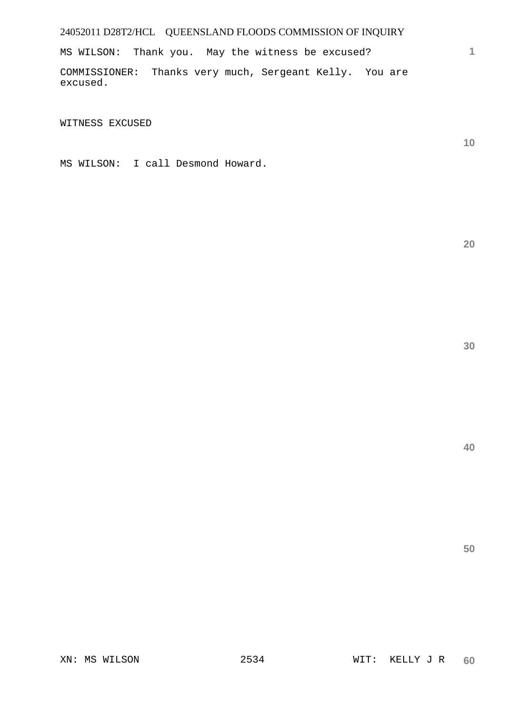MS WILSON: Thank you. May the witness be excused?

COMMISSIONER: Thanks very much, Sergeant Kelly. You are excused.

WITNESS EXCUSED

MS WILSON: I call Desmond Howard.

**20** 

**1**

**10**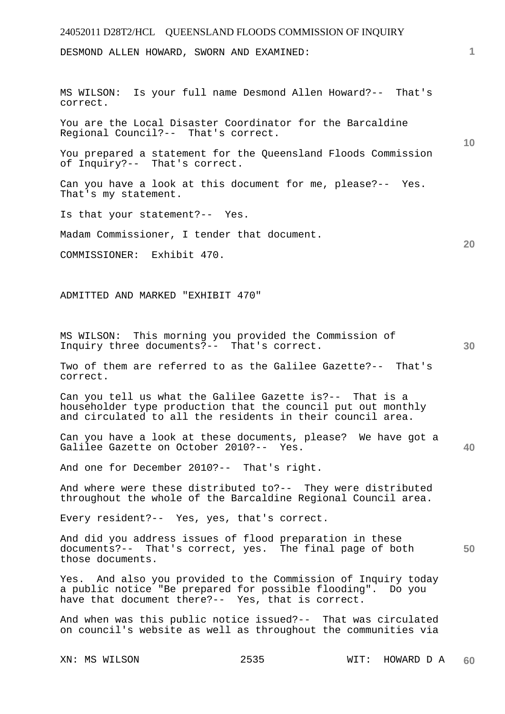## 24052011 D28T2/HCL QUEENSLAND FLOODS COMMISSION OF INQUIRY XN: MS WILSON 2535 WIT: HOWARD D A **1 10 20 30 40 50 60**  DESMOND ALLEN HOWARD, SWORN AND EXAMINED: MS WILSON: Is your full name Desmond Allen Howard?-- That's correct. You are the Local Disaster Coordinator for the Barcaldine Regional Council?-- That's correct. You prepared a statement for the Queensland Floods Commission of Inquiry?-- That's correct. Can you have a look at this document for me, please?-- Yes. That's my statement. Is that your statement?-- Yes. Madam Commissioner, I tender that document. COMMISSIONER: Exhibit 470. ADMITTED AND MARKED "EXHIBIT 470" MS WILSON: This morning you provided the Commission of Inquiry three documents?-- That's correct. Two of them are referred to as the Galilee Gazette?-- That's correct. Can you tell us what the Galilee Gazette is?-- That is a householder type production that the council put out monthly and circulated to all the residents in their council area. Can you have a look at these documents, please? We have got a Galilee Gazette on October 2010?-- Yes. And one for December 2010?-- That's right. And where were these distributed to?-- They were distributed throughout the whole of the Barcaldine Regional Council area. Every resident?-- Yes, yes, that's correct. And did you address issues of flood preparation in these documents?-- That's correct, yes. The final page of both those documents. Yes. And also you provided to the Commission of Inquiry today a public notice "Be prepared for possible flooding". Do you have that document there?-- Yes, that is correct. And when was this public notice issued?-- That was circulated on council's website as well as throughout the communities via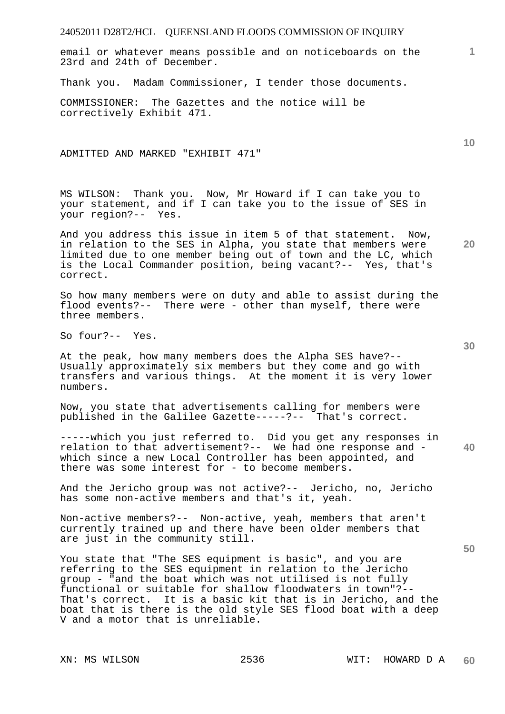email or whatever means possible and on noticeboards on the 23rd and 24th of December.

Thank you. Madam Commissioner, I tender those documents.

COMMISSIONER: The Gazettes and the notice will be correctively Exhibit 471.

ADMITTED AND MARKED "EXHIBIT 471"

MS WILSON: Thank you. Now, Mr Howard if I can take you to your statement, and if I can take you to the issue of SES in your region?-- Yes.

And you address this issue in item 5 of that statement. Now, in relation to the SES in Alpha, you state that members were limited due to one member being out of town and the LC, which is the Local Commander position, being vacant?-- Yes, that's correct.

So how many members were on duty and able to assist during the flood events?-- There were - other than myself, there were three members.

So four?-- Yes.

At the peak, how many members does the Alpha SES have?-- Usually approximately six members but they come and go with transfers and various things. At the moment it is very lower numbers.

Now, you state that advertisements calling for members were published in the Galilee Gazette-----?-- That's correct.

**40**  -----which you just referred to. Did you get any responses in relation to that advertisement?-- We had one response and which since a new Local Controller has been appointed, and there was some interest for - to become members.

And the Jericho group was not active?-- Jericho, no, Jericho has some non-active members and that's it, yeah.

Non-active members?-- Non-active, yeah, members that aren't currently trained up and there have been older members that are just in the community still.

You state that "The SES equipment is basic", and you are referring to the SES equipment in relation to the Jericho group - "and the boat which was not utilised is not fully functional or suitable for shallow floodwaters in town"?-- That's correct. It is a basic kit that is in Jericho, and the boat that is there is the old style SES flood boat with a deep V and a motor that is unreliable.

**10** 

**20** 

**1**

**30**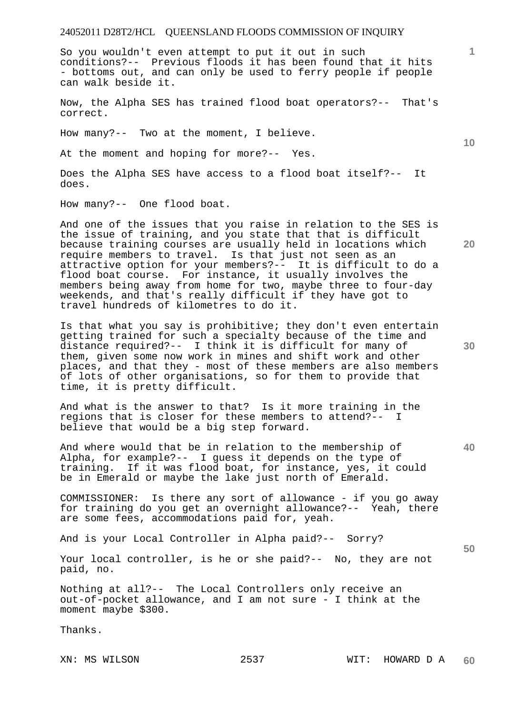So you wouldn't even attempt to put it out in such conditions?-- Previous floods it has been found that it hits - bottoms out, and can only be used to ferry people if people can walk beside it.

Now, the Alpha SES has trained flood boat operators?-- That's correct.

How many?-- Two at the moment, I believe.

At the moment and hoping for more?-- Yes.

Does the Alpha SES have access to a flood boat itself?-- It does.

How many?-- One flood boat.

And one of the issues that you raise in relation to the SES is the issue of training, and you state that that is difficult because training courses are usually held in locations which require members to travel. Is that just not seen as an attractive option for your members?-- It is difficult to do a flood boat course. For instance, it usually involves the members being away from home for two, maybe three to four-day weekends, and that's really difficult if they have got to travel hundreds of kilometres to do it.

Is that what you say is prohibitive; they don't even entertain getting trained for such a specialty because of the time and distance required?-- I think it is difficult for many of them, given some now work in mines and shift work and other places, and that they - most of these members are also members of lots of other organisations, so for them to provide that time, it is pretty difficult.

And what is the answer to that? Is it more training in the regions that is closer for these members to attend?-- I believe that would be a big step forward.

And where would that be in relation to the membership of Alpha, for example?-- I guess it depends on the type of training. If it was flood boat, for instance, yes, it could be in Emerald or maybe the lake just north of Emerald.

COMMISSIONER: Is there any sort of allowance - if you go away for training do you get an overnight allowance?-- Yeah, there are some fees, accommodations paid for, yeah.

And is your Local Controller in Alpha paid?-- Sorry?

Your local controller, is he or she paid?-- No, they are not paid, no.

Nothing at all?-- The Local Controllers only receive an out-of-pocket allowance, and I am not sure - I think at the moment maybe \$300.

Thanks.

XN: MS WILSON 2537 WIT: HOWARD D A **60** 

**30** 

**40** 

**50** 

**20** 

**10**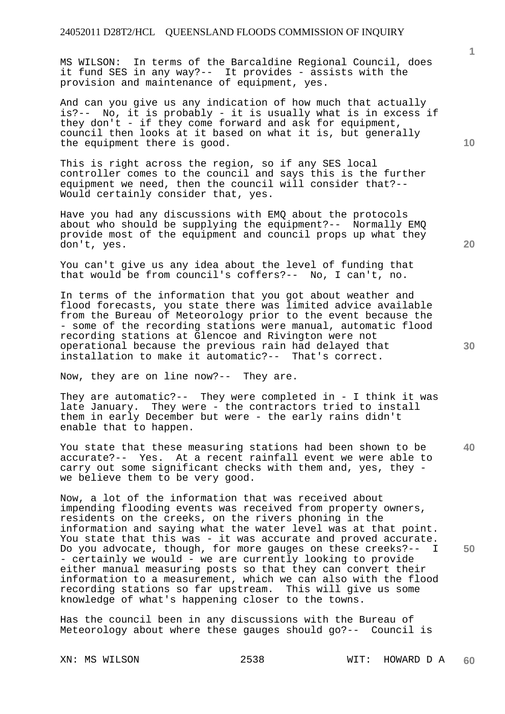MS WILSON: In terms of the Barcaldine Regional Council, does it fund SES in any way?-- It provides - assists with the provision and maintenance of equipment, yes.

And can you give us any indication of how much that actually is?-- No, it is probably - it is usually what is in excess if they don't - if they come forward and ask for equipment, council then looks at it based on what it is, but generally the equipment there is good.

This is right across the region, so if any SES local controller comes to the council and says this is the further equipment we need, then the council will consider that?-- Would certainly consider that, yes.

Have you had any discussions with EMQ about the protocols about who should be supplying the equipment?-- Normally EMQ provide most of the equipment and council props up what they don't, yes.

You can't give us any idea about the level of funding that that would be from council's coffers?-- No, I can't, no.

In terms of the information that you got about weather and flood forecasts, you state there was limited advice available from the Bureau of Meteorology prior to the event because the - some of the recording stations were manual, automatic flood recording stations at Glencoe and Rivington were not operational because the previous rain had delayed that installation to make it automatic?-- That's correct.

Now, they are on line now?-- They are.

They are automatic?-- They were completed in - I think it was late January. They were - the contractors tried to install them in early December but were - the early rains didn't enable that to happen.

You state that these measuring stations had been shown to be accurate?-- Yes. At a recent rainfall event we were able to carry out some significant checks with them and, yes, they we believe them to be very good.

Now, a lot of the information that was received about impending flooding events was received from property owners, residents on the creeks, on the rivers phoning in the information and saying what the water level was at that point. You state that this was - it was accurate and proved accurate. Do you advocate, though, for more gauges on these creeks?-- I - certainly we would - we are currently looking to provide either manual measuring posts so that they can convert their information to a measurement, which we can also with the flood recording stations so far upstream. This will give us some knowledge of what's happening closer to the towns.

Has the council been in any discussions with the Bureau of Meteorology about where these gauges should go?-- Council is

**1**

**30** 

**20** 

**40**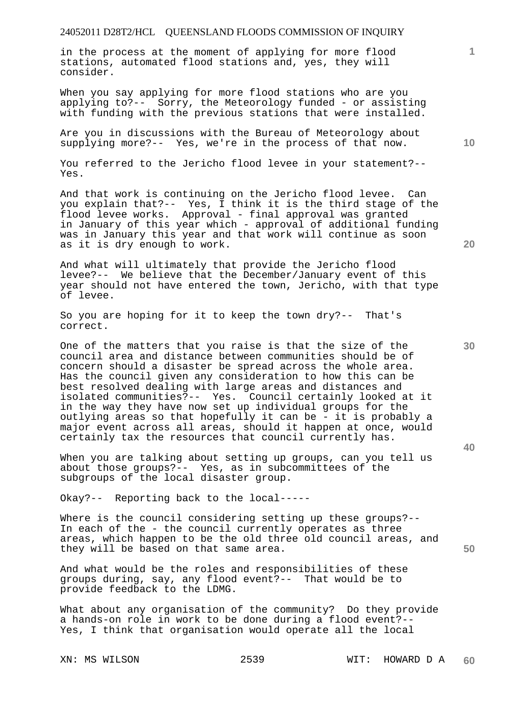in the process at the moment of applying for more flood stations, automated flood stations and, yes, they will consider.

When you say applying for more flood stations who are you applying to?-- Sorry, the Meteorology funded - or assisting with funding with the previous stations that were installed.

Are you in discussions with the Bureau of Meteorology about supplying more?-- Yes, we're in the process of that now.

You referred to the Jericho flood levee in your statement?-- Yes.

And that work is continuing on the Jericho flood levee. Can you explain that?-- Yes, I think it is the third stage of the flood levee works. Approval - final approval was granted in January of this year which - approval of additional funding was in January this year and that work will continue as soon as it is dry enough to work.

And what will ultimately that provide the Jericho flood levee?-- We believe that the December/January event of this year should not have entered the town, Jericho, with that type of levee.

So you are hoping for it to keep the town dry?-- That's correct.

One of the matters that you raise is that the size of the council area and distance between communities should be of concern should a disaster be spread across the whole area. Has the council given any consideration to how this can be best resolved dealing with large areas and distances and isolated communities?-- Yes. Council certainly looked at it in the way they have now set up individual groups for the outlying areas so that hopefully it can be - it is probably a major event across all areas, should it happen at once, would certainly tax the resources that council currently has.

When you are talking about setting up groups, can you tell us about those groups?-- Yes, as in subcommittees of the subgroups of the local disaster group.

Okay?-- Reporting back to the local-----

Where is the council considering setting up these groups?-- In each of the - the council currently operates as three areas, which happen to be the old three old council areas, and they will be based on that same area.

And what would be the roles and responsibilities of these groups during, say, any flood event?-- That would be to provide feedback to the LDMG.

What about any organisation of the community? Do they provide a hands-on role in work to be done during a flood event?-- Yes, I think that organisation would operate all the local

**10** 

**20** 

**1**

**30** 

**40**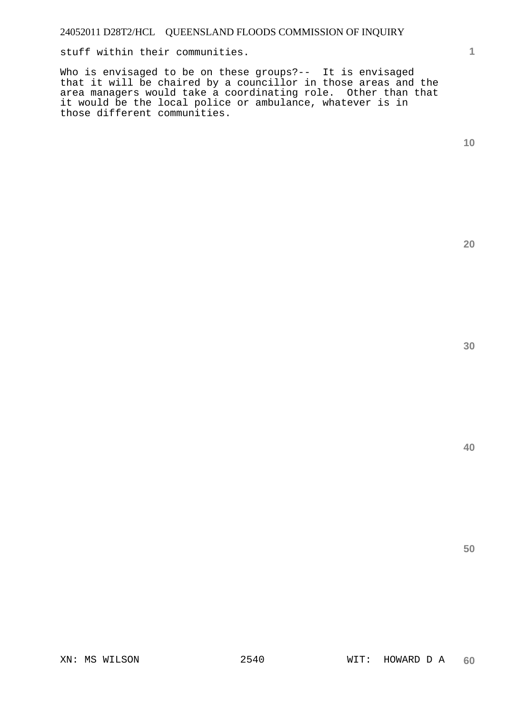stuff within their communities.

Who is envisaged to be on these groups?-- It is envisaged that it will be chaired by a councillor in those areas and the area managers would take a coordinating role. Other than that it would be the local police or ambulance, whatever is in those different communities.

**10** 

**1**

**20** 

**40**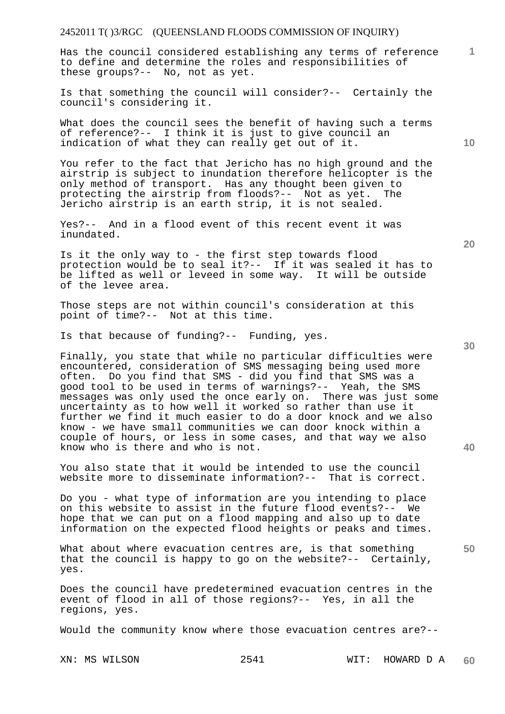Has the council considered establishing any terms of reference to define and determine the roles and responsibilities of these groups?-- No, not as yet.

Is that something the council will consider?-- Certainly the council's considering it.

What does the council sees the benefit of having such a terms of reference?-- I think it is just to give council an indication of what they can really get out of it.

You refer to the fact that Jericho has no high ground and the airstrip is subject to inundation therefore helicopter is the only method of transport. Has any thought been given to protecting the airstrip from floods?-- Not as yet. The Jericho airstrip is an earth strip, it is not sealed.

Yes?-- And in a flood event of this recent event it was inundated.

Is it the only way to - the first step towards flood protection would be to seal it?-- If it was sealed it has to be lifted as well or leveed in some way. It will be outside of the levee area.

Those steps are not within council's consideration at this point of time?-- Not at this time.

Is that because of funding?-- Funding, yes.

Finally, you state that while no particular difficulties were encountered, consideration of SMS messaging being used more often. Do you find that SMS - did you find that SMS was a good tool to be used in terms of warnings?-- Yeah, the SMS messages was only used the once early on. There was just some uncertainty as to how well it worked so rather than use it further we find it much easier to do a door knock and we also know - we have small communities we can door knock within a couple of hours, or less in some cases, and that way we also know who is there and who is not.

You also state that it would be intended to use the council website more to disseminate information?-- That is correct.

Do you - what type of information are you intending to place on this website to assist in the future flood events?-- We hope that we can put on a flood mapping and also up to date information on the expected flood heights or peaks and times.

What about where evacuation centres are, is that something that the council is happy to go on the website?-- Certainly, yes.

Does the council have predetermined evacuation centres in the event of flood in all of those regions?-- Yes, in all the regions, yes.

Would the community know where those evacuation centres are?--

**20** 

**10** 

**50** 

**40**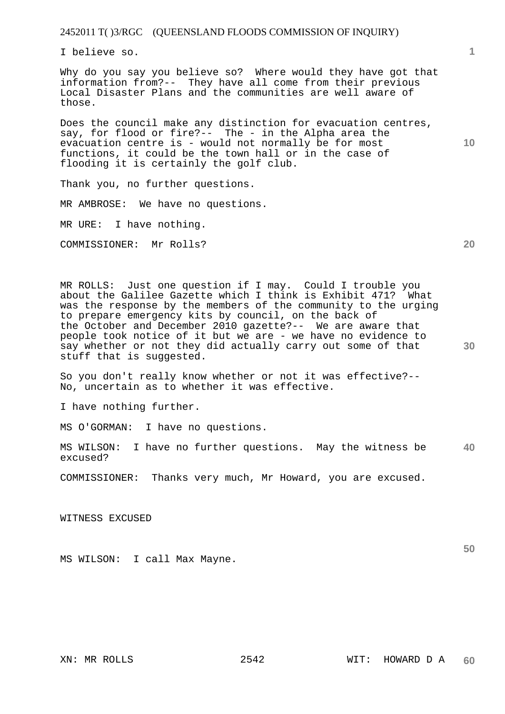I believe so.

Why do you say you believe so? Where would they have got that information from?-- They have all come from their previous Local Disaster Plans and the communities are well aware of those.

Does the council make any distinction for evacuation centres, say, for flood or fire?-- The - in the Alpha area the evacuation centre is - would not normally be for most functions, it could be the town hall or in the case of flooding it is certainly the golf club.

Thank you, no further questions.

MR AMBROSE: We have no questions.

MR URE: I have nothing.

COMMISSIONER: Mr Rolls?

MR ROLLS: Just one question if I may. Could I trouble you about the Galilee Gazette which I think is Exhibit 471? What was the response by the members of the community to the urging to prepare emergency kits by council, on the back of the October and December 2010 gazette?-- We are aware that people took notice of it but we are - we have no evidence to say whether or not they did actually carry out some of that stuff that is suggested.

So you don't really know whether or not it was effective?-- No, uncertain as to whether it was effective.

I have nothing further.

MS O'GORMAN: I have no questions.

**40**  MS WILSON: I have no further questions. May the witness be excused?

COMMISSIONER: Thanks very much, Mr Howard, you are excused.

WITNESS EXCUSED

MS WILSON: I call Max Mayne.

**20** 

**10**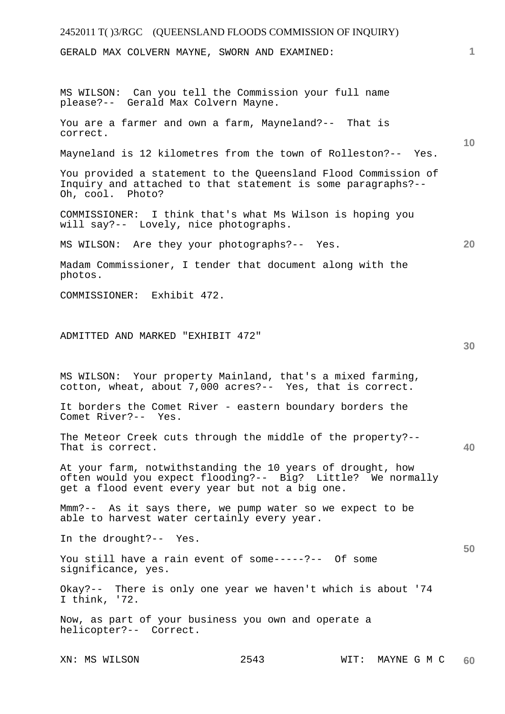| 2452011 T()3/RGC (QUEENSLAND FLOODS COMMISSION OF INQUIRY)                                                                                                                   |      |                  |    |
|------------------------------------------------------------------------------------------------------------------------------------------------------------------------------|------|------------------|----|
| GERALD MAX COLVERN MAYNE, SWORN AND EXAMINED:                                                                                                                                |      |                  | 1  |
| MS WILSON: Can you tell the Commission your full name<br>please?-- Gerald Max Colvern Mayne.                                                                                 |      |                  |    |
| You are a farmer and own a farm, Mayneland?-- That is<br>correct.                                                                                                            |      |                  |    |
| Mayneland is 12 kilometres from the town of Rolleston?-- Yes.                                                                                                                |      |                  | 10 |
| You provided a statement to the Queensland Flood Commission of<br>Inquiry and attached to that statement is some paragraphs?--<br>Oh, cool. Photo?                           |      |                  |    |
| COMMISSIONER: I think that's what Ms Wilson is hoping you<br>will say?-- Lovely, nice photographs.                                                                           |      |                  |    |
| MS WILSON: Are they your photographs?-- Yes.                                                                                                                                 |      |                  | 20 |
| Madam Commissioner, I tender that document along with the<br>photos.                                                                                                         |      |                  |    |
| COMMISSIONER: Exhibit 472.                                                                                                                                                   |      |                  |    |
|                                                                                                                                                                              |      |                  |    |
| ADMITTED AND MARKED "EXHIBIT 472"                                                                                                                                            |      |                  | 30 |
| MS WILSON: Your property Mainland, that's a mixed farming,<br>cotton, wheat, about 7,000 acres?-- Yes, that is correct.                                                      |      |                  |    |
| It borders the Comet River - eastern boundary borders the<br>Comet River?-- Yes.                                                                                             |      |                  |    |
| The Meteor Creek cuts through the middle of the property?--<br>That is correct.                                                                                              |      |                  | 40 |
| At your farm, notwithstanding the 10 years of drought, how<br>often would you expect flooding?-- Big? Little? We normally<br>get a flood event every year but not a big one. |      |                  |    |
| Mmm?-- As it says there, we pump water so we expect to be<br>able to harvest water certainly every year.                                                                     |      |                  |    |
| In the drought?-- Yes.                                                                                                                                                       |      |                  |    |
| You still have a rain event of some-----?-- Of some<br>significance, yes.                                                                                                    |      |                  | 50 |
| Okay?-- There is only one year we haven't which is about '74<br>I think, $'72.$                                                                                              |      |                  |    |
| Now, as part of your business you own and operate a<br>helicopter?-- Correct.                                                                                                |      |                  |    |
| XN: MS WILSON                                                                                                                                                                | 2543 | WIT: MAYNE G M C | 60 |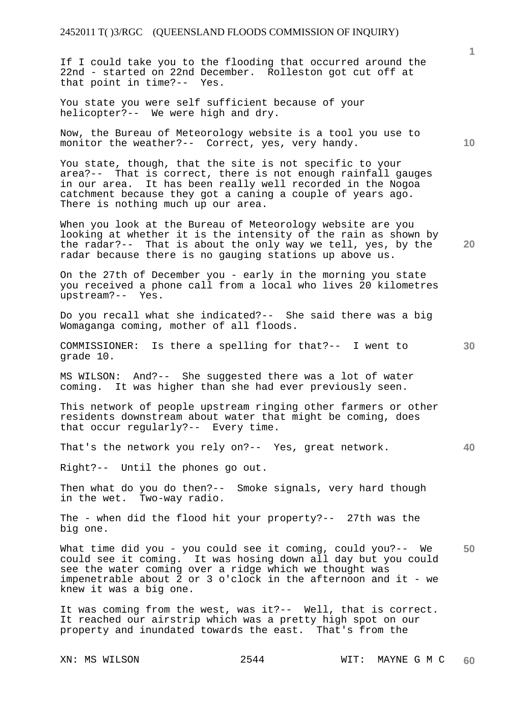If I could take you to the flooding that occurred around the 22nd - started on 22nd December. Rolleston got cut off at that point in time?-- Yes.

You state you were self sufficient because of your helicopter?-- We were high and dry.

Now, the Bureau of Meteorology website is a tool you use to monitor the weather?-- Correct, yes, very handy.

You state, though, that the site is not specific to your area?-- That is correct, there is not enough rainfall gauges in our area. It has been really well recorded in the Nogoa catchment because they got a caning a couple of years ago. There is nothing much up our area.

When you look at the Bureau of Meteorology website are you looking at whether it is the intensity of the rain as shown by the radar?-- That is about the only way we tell, yes, by the radar because there is no gauging stations up above us.

On the 27th of December you - early in the morning you state you received a phone call from a local who lives 20 kilometres upstream?-- Yes.

Do you recall what she indicated?-- She said there was a big Womaganga coming, mother of all floods.

COMMISSIONER: Is there a spelling for that?-- I went to grade 10.

MS WILSON: And?-- She suggested there was a lot of water coming. It was higher than she had ever previously seen.

This network of people upstream ringing other farmers or other residents downstream about water that might be coming, does that occur regularly?-- Every time.

That's the network you rely on?-- Yes, great network.

Right?-- Until the phones go out.

Then what do you do then?-- Smoke signals, very hard though in the wet. Two-way radio.

The - when did the flood hit your property?-- 27th was the big one.

**50**  What time did you - you could see it coming, could you?-- We could see it coming. It was hosing down all day but you could see the water coming over a ridge which we thought was impenetrable about 2 or 3 o'clock in the afternoon and it - we knew it was a big one.

It was coming from the west, was it?-- Well, that is correct. It reached our airstrip which was a pretty high spot on our property and inundated towards the east. That's from the

**10** 

**1**

**30** 

**20**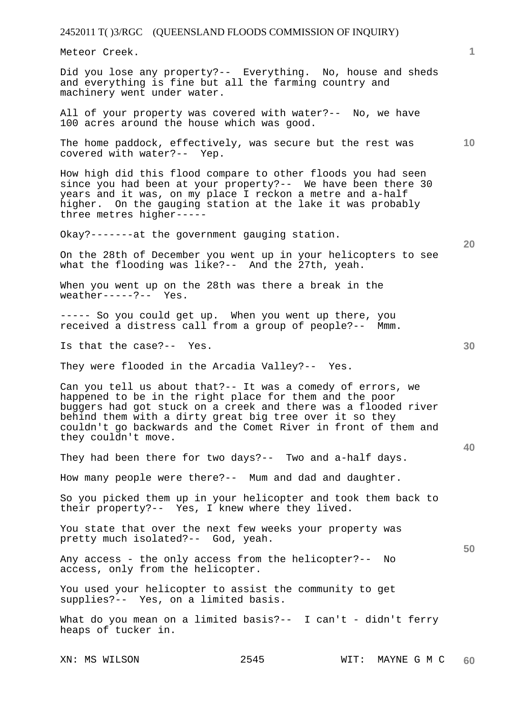Meteor Creek.

Did you lose any property?-- Everything. No, house and sheds and everything is fine but all the farming country and machinery went under water.

All of your property was covered with water?-- No, we have 100 acres around the house which was good.

The home paddock, effectively, was secure but the rest was covered with water?-- Yep.

How high did this flood compare to other floods you had seen since you had been at your property?-- We have been there 30 years and it was, on my place I reckon a metre and a-half higher. On the gauging station at the lake it was probably three metres higher-----

Okay?-------at the government gauging station.

On the 28th of December you went up in your helicopters to see what the flooding was like?-- And the 27th, yeah.

When you went up on the 28th was there a break in the  $weather---?---$  Yes.

----- So you could get up. When you went up there, you received a distress call from a group of people?-- Mmm.

Is that the case?-- Yes.

They were flooded in the Arcadia Valley?-- Yes.

Can you tell us about that?-- It was a comedy of errors, we happened to be in the right place for them and the poor buggers had got stuck on a creek and there was a flooded river behind them with a dirty great big tree over it so they couldn't go backwards and the Comet River in front of them and they couldn't move.

They had been there for two days?-- Two and a-half days.

How many people were there?-- Mum and dad and daughter.

So you picked them up in your helicopter and took them back to their property?-- Yes, I knew where they lived.

You state that over the next few weeks your property was pretty much isolated?-- God, yeah.

Any access - the only access from the helicopter?-- No access, only from the helicopter.

You used your helicopter to assist the community to get supplies?-- Yes, on a limited basis.

What do you mean on a limited basis?-- I can't - didn't ferry heaps of tucker in.

**20** 

**1**

**10** 

**40**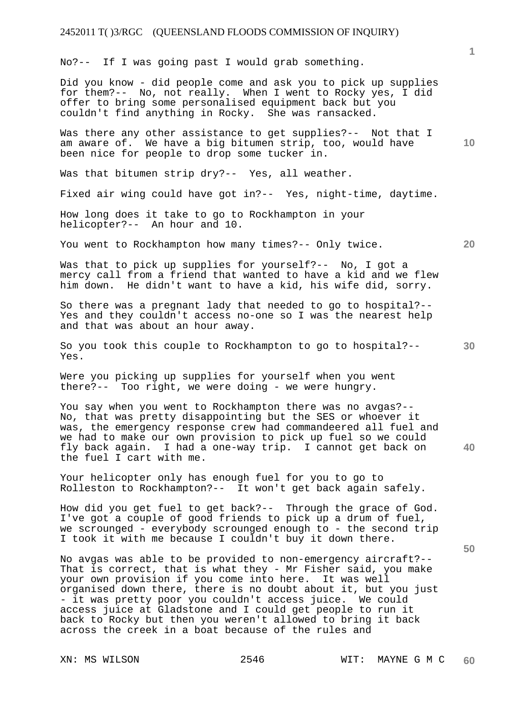No?-- If I was going past I would grab something.

Did you know - did people come and ask you to pick up supplies for them?-- No, not really. When I went to Rocky yes, I did offer to bring some personalised equipment back but you couldn't find anything in Rocky. She was ransacked.

Was there any other assistance to get supplies?-- Not that I am aware of. We have a big bitumen strip, too, would have been nice for people to drop some tucker in.

Was that bitumen strip dry?-- Yes, all weather.

Fixed air wing could have got in?-- Yes, night-time, daytime.

How long does it take to go to Rockhampton in your helicopter?-- An hour and 10.

You went to Rockhampton how many times?-- Only twice.

Was that to pick up supplies for yourself?-- No, I got a mercy call from a friend that wanted to have a kid and we flew him down. He didn't want to have a kid, his wife did, sorry.

So there was a pregnant lady that needed to go to hospital?-- Yes and they couldn't access no-one so I was the nearest help and that was about an hour away.

**30**  So you took this couple to Rockhampton to go to hospital?-- Yes.

Were you picking up supplies for yourself when you went there?-- Too right, we were doing - we were hungry.

You say when you went to Rockhampton there was no avgas?-- No, that was pretty disappointing but the SES or whoever it was, the emergency response crew had commandeered all fuel and we had to make our own provision to pick up fuel so we could fly back again. I had a one-way trip. I cannot get back on the fuel I cart with me.

Your helicopter only has enough fuel for you to go to Rolleston to Rockhampton?-- It won't get back again safely.

How did you get fuel to get back?-- Through the grace of God. I've got a couple of good friends to pick up a drum of fuel, we scrounged - everybody scrounged enough to - the second trip I took it with me because I couldn't buy it down there.

No avgas was able to be provided to non-emergency aircraft?-- That is correct, that is what they - Mr Fisher said, you make your own provision if you come into here. It was well organised down there, there is no doubt about it, but you just - it was pretty poor you couldn't access juice. We could access juice at Gladstone and I could get people to run it back to Rocky but then you weren't allowed to bring it back across the creek in a boat because of the rules and

**1**

**10** 

**20** 

**40**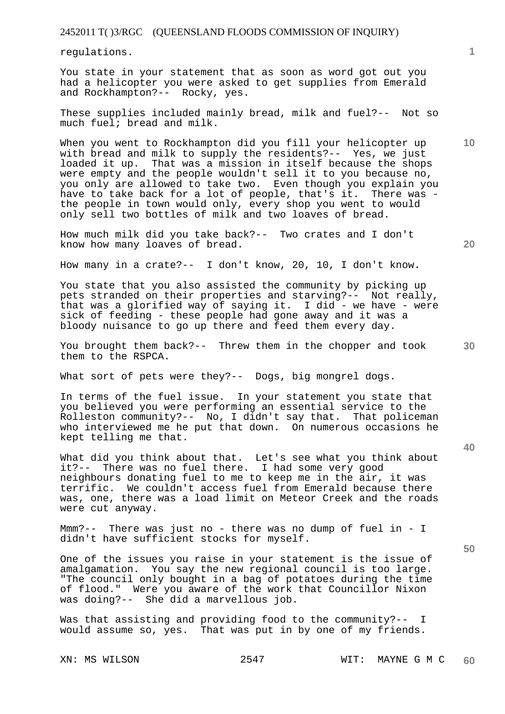regulations.

You state in your statement that as soon as word got out you had a helicopter you were asked to get supplies from Emerald and Rockhampton?-- Rocky, yes.

These supplies included mainly bread, milk and fuel?-- Not so much fuel; bread and milk.

When you went to Rockhampton did you fill your helicopter up with bread and milk to supply the residents?-- Yes, we just loaded it up. That was a mission in itself because the shops were empty and the people wouldn't sell it to you because no, you only are allowed to take two. Even though you explain you have to take back for a lot of people, that's it. There was the people in town would only, every shop you went to would only sell two bottles of milk and two loaves of bread.

How much milk did you take back?-- Two crates and I don't know how many loaves of bread.

How many in a crate?-- I don't know, 20, 10, I don't know.

You state that you also assisted the community by picking up pets stranded on their properties and starving?-- Not really, that was a glorified way of saying it. I did - we have - were sick of feeding - these people had gone away and it was a bloody nuisance to go up there and feed them every day.

You brought them back?-- Threw them in the chopper and took them to the RSPCA.

What sort of pets were they?-- Dogs, big mongrel dogs.

In terms of the fuel issue. In your statement you state that you believed you were performing an essential service to the Rolleston community?-- No, I didn't say that. That policeman who interviewed me he put that down. On numerous occasions he kept telling me that.

What did you think about that. Let's see what you think about it?-- There was no fuel there. I had some very good neighbours donating fuel to me to keep me in the air, it was terrific. We couldn't access fuel from Emerald because there was, one, there was a load limit on Meteor Creek and the roads were cut anyway.

Mmm?-- There was just no - there was no dump of fuel in - I didn't have sufficient stocks for myself.

One of the issues you raise in your statement is the issue of amalgamation. You say the new regional council is too large. "The council only bought in a bag of potatoes during the time of flood." Were you aware of the work that Councillor Nixon was doing?-- She did a marvellous job.

Was that assisting and providing food to the community?-- I would assume so, yes. That was put in by one of my friends.

**10** 

**1**

**20** 

**40**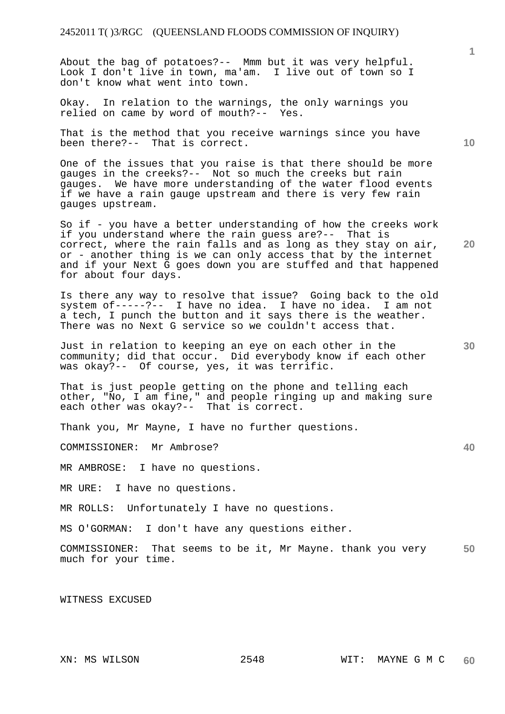About the bag of potatoes?-- Mmm but it was very helpful. Look I don't live in town, ma'am. I live out of town so I don't know what went into town.

Okay. In relation to the warnings, the only warnings you relied on came by word of mouth?-- Yes.

That is the method that you receive warnings since you have been there?-- That is correct.

One of the issues that you raise is that there should be more gauges in the creeks?-- Not so much the creeks but rain gauges. We have more understanding of the water flood events if we have a rain gauge upstream and there is very few rain gauges upstream.

So if - you have a better understanding of how the creeks work if you understand where the rain guess are?-- That is correct, where the rain falls and as long as they stay on air, or - another thing is we can only access that by the internet and if your Next G goes down you are stuffed and that happened for about four days.

Is there any way to resolve that issue? Going back to the old system of-----?-- I have no idea. I have no idea. I am not a tech, I punch the button and it says there is the weather. There was no Next G service so we couldn't access that.

Just in relation to keeping an eye on each other in the community; did that occur. Did everybody know if each other was okay?-- Of course, yes, it was terrific.

That is just people getting on the phone and telling each other, "No, I am fine," and people ringing up and making sure each other was okay?-- That is correct.

Thank you, Mr Mayne, I have no further questions.

COMMISSIONER: Mr Ambrose?

MR AMBROSE: I have no questions.

MR URE: I have no questions.

MR ROLLS: Unfortunately I have no questions.

MS O'GORMAN: I don't have any questions either.

**50**  COMMISSIONER: That seems to be it, Mr Mayne. thank you very much for your time.

WITNESS EXCUSED

**10** 

**20** 

**1**

**40**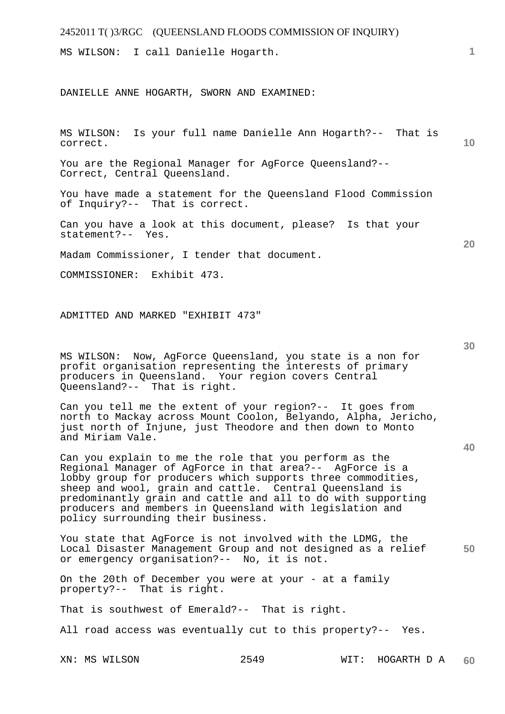| 2452011 T()3/RGC (QUEENSLAND FLOODS COMMISSION OF INQUIRY)                                                                   |    |
|------------------------------------------------------------------------------------------------------------------------------|----|
| MS WILSON: I call Danielle Hogarth.                                                                                          | 1. |
|                                                                                                                              |    |
| DANIELLE ANNE HOGARTH, SWORN AND EXAMINED:                                                                                   |    |
|                                                                                                                              |    |
|                                                                                                                              |    |
| Is your full name Danielle Ann Hogarth?-- That is<br>MS WILSON:<br>correct.                                                  | 10 |
| You are the Regional Manager for AgForce Queensland?--<br>Correct, Central Queensland.                                       |    |
| You have made a statement for the Queensland Flood Commission<br>of Inquiry?-- That is correct.                              |    |
| Can you have a look at this document, please? Is that your<br>statement?-- Yes.                                              | 20 |
| Madam Commissioner, I tender that document.                                                                                  |    |
| COMMISSIONER: Exhibit 473.                                                                                                   |    |
|                                                                                                                              |    |
| ADMITTED AND MARKED "EXHIBIT 473"                                                                                            |    |
|                                                                                                                              |    |
|                                                                                                                              | 30 |
| Now, AgForce Queensland, you state is a non for<br>MS WILSON:<br>profit organisation representing the interests of primary   |    |
| producers in Queensland. Your region covers Central<br>Queensland?-- That is right.                                          |    |
| Can you tell me the extent of your region?-- It goes from                                                                    |    |
| north to Mackay across Mount Coolon, Belyando, Alpha, Jericho,<br>just north of Injune, just Theodore and then down to Monto |    |
| and Miriam Vale.                                                                                                             | 40 |
| Can you explain to me the role that you perform as the                                                                       |    |
| Regional Manager of AgForce in that area?-- AgForce is a<br>lobby group for producers which supports three commodities,      |    |
| sheep and wool, grain and cattle. Central Queensland is<br>predominantly grain and cattle and all to do with supporting      |    |
| producers and members in Queensland with legislation and<br>policy surrounding their business.                               |    |
|                                                                                                                              |    |

**50**  You state that AgForce is not involved with the LDMG, the Local Disaster Management Group and not designed as a relief or emergency organisation?-- No, it is not.

On the 20th of December you were at your - at a family property?-- That is right.

That is southwest of Emerald?-- That is right.

All road access was eventually cut to this property?-- Yes.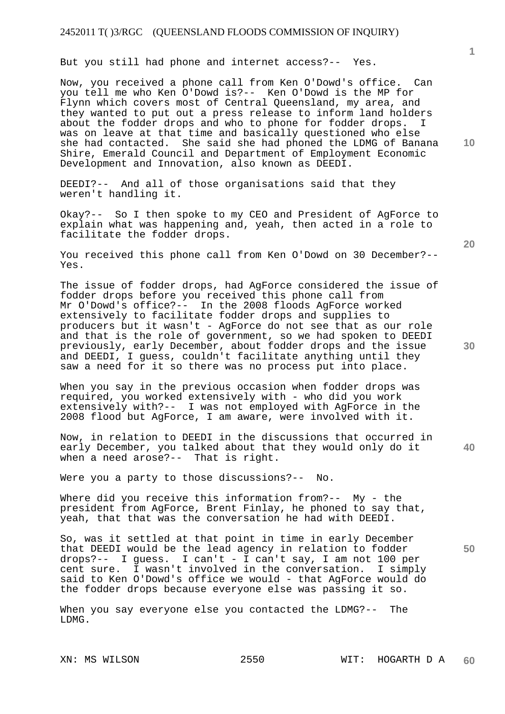But you still had phone and internet access?-- Yes.

Now, you received a phone call from Ken O'Dowd's office. Can you tell me who Ken O'Dowd is?-- Ken O'Dowd is the MP for Flynn which covers most of Central Queensland, my area, and they wanted to put out a press release to inform land holders about the fodder drops and who to phone for fodder drops. was on leave at that time and basically questioned who else she had contacted. She said she had phoned the LDMG of Banana Shire, Emerald Council and Department of Employment Economic Development and Innovation, also known as DEEDI.

DEEDI?-- And all of those organisations said that they weren't handling it.

Okay?-- So I then spoke to my CEO and President of AgForce to explain what was happening and, yeah, then acted in a role to facilitate the fodder drops.

You received this phone call from Ken O'Dowd on 30 December?-- Yes.

The issue of fodder drops, had AgForce considered the issue of fodder drops before you received this phone call from Mr O'Dowd's office?-- In the 2008 floods AgForce worked extensively to facilitate fodder drops and supplies to producers but it wasn't - AgForce do not see that as our role and that is the role of government, so we had spoken to DEEDI previously, early December, about fodder drops and the issue and DEEDI, I guess, couldn't facilitate anything until they saw a need for it so there was no process put into place.

When you say in the previous occasion when fodder drops was required, you worked extensively with - who did you work extensively with?-- I was not employed with AgForce in the 2008 flood but AgForce, I am aware, were involved with it.

Now, in relation to DEEDI in the discussions that occurred in early December, you talked about that they would only do it when a need arose?-- That is right.

Were you a party to those discussions?-- No.

Where did you receive this information from?-- My - the president from AgForce, Brent Finlay, he phoned to say that, yeah, that that was the conversation he had with DEEDI.

So, was it settled at that point in time in early December that DEEDI would be the lead agency in relation to fodder drops?-- I guess. I can't - I can't say, I am not 100 per cent sure. I wasn't involved in the conversation. I simply said to Ken O'Dowd's office we would - that AgForce would do the fodder drops because everyone else was passing it so.

When you say everyone else you contacted the LDMG?-- The LDMG.

**10** 

**1**

**30** 

**20** 

**50**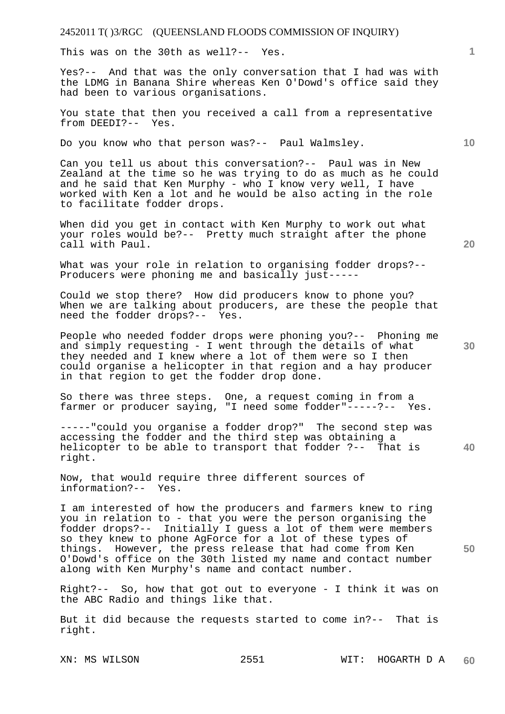This was on the 30th as well?-- Yes.

Yes?-- And that was the only conversation that I had was with the LDMG in Banana Shire whereas Ken O'Dowd's office said they had been to various organisations.

You state that then you received a call from a representative from DEEDI?-- Yes.

Do you know who that person was?-- Paul Walmsley.

Can you tell us about this conversation?-- Paul was in New Zealand at the time so he was trying to do as much as he could and he said that Ken Murphy - who I know very well, I have worked with Ken a lot and he would be also acting in the role to facilitate fodder drops.

When did you get in contact with Ken Murphy to work out what your roles would be?-- Pretty much straight after the phone call with Paul.

What was your role in relation to organising fodder drops?-- Producers were phoning me and basically just-----

Could we stop there? How did producers know to phone you? When we are talking about producers, are these the people that need the fodder drops?-- Yes.

People who needed fodder drops were phoning you?-- Phoning me and simply requesting - I went through the details of what they needed and I knew where a lot of them were so I then could organise a helicopter in that region and a hay producer in that region to get the fodder drop done.

So there was three steps. One, a request coming in from a farmer or producer saying, "I need some fodder"-----?-- Yes.

-----"could you organise a fodder drop?" The second step was accessing the fodder and the third step was obtaining a helicopter to be able to transport that fodder ?-- That is right.

Now, that would require three different sources of information?-- Yes.

I am interested of how the producers and farmers knew to ring you in relation to - that you were the person organising the fodder drops?-- Initially I guess a lot of them were members so they knew to phone AgForce for a lot of these types of things. However, the press release that had come from Ken O'Dowd's office on the 30th listed my name and contact number along with Ken Murphy's name and contact number.

Right?-- So, how that got out to everyone - I think it was on the ABC Radio and things like that.

But it did because the requests started to come in?-- That is right.

**20** 

**40** 

**50** 

**10**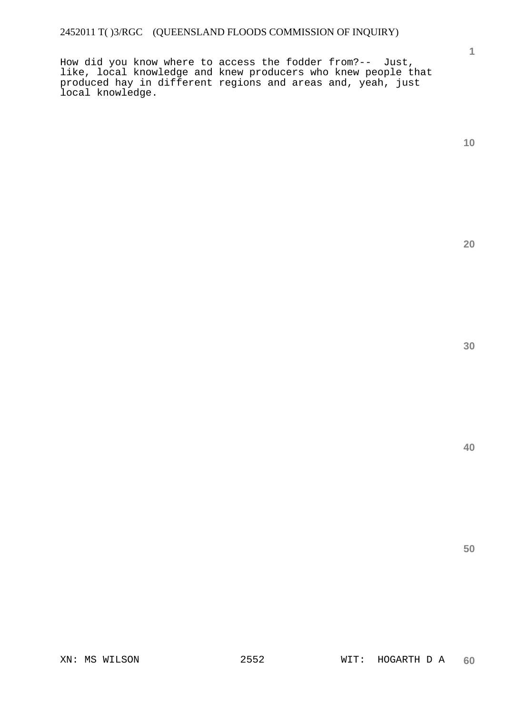How did you know where to access the fodder from?-- Just, like, local knowledge and knew producers who knew people that produced hay in different regions and areas and, yeah, just local knowledge.

**1**

**20**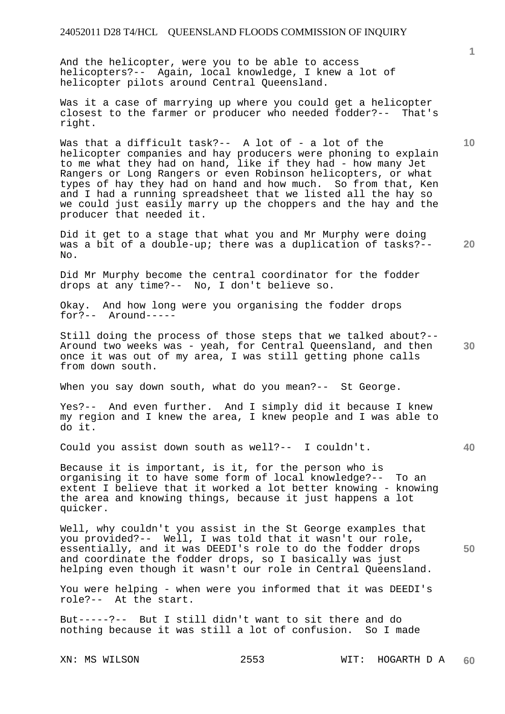And the helicopter, were you to be able to access helicopters?-- Again, local knowledge, I knew a lot of helicopter pilots around Central Queensland.

Was it a case of marrying up where you could get a helicopter closest to the farmer or producer who needed fodder?-- That's right.

Was that a difficult task?-- A lot of - a lot of the helicopter companies and hay producers were phoning to explain to me what they had on hand, like if they had - how many Jet Rangers or Long Rangers or even Robinson helicopters, or what types of hay they had on hand and how much. So from that, Ken and I had a running spreadsheet that we listed all the hay so we could just easily marry up the choppers and the hay and the producer that needed it.

**20**  Did it get to a stage that what you and Mr Murphy were doing was a bit of a double-up; there was a duplication of tasks?-- No.

Did Mr Murphy become the central coordinator for the fodder drops at any time?-- No, I don't believe so.

Okay. And how long were you organising the fodder drops for?-- Around-----

**30**  Still doing the process of those steps that we talked about?-- Around two weeks was - yeah, for Central Queensland, and then once it was out of my area, I was still getting phone calls from down south.

When you say down south, what do you mean?-- St George.

Yes?-- And even further. And I simply did it because I knew my region and I knew the area, I knew people and I was able to do it.

Could you assist down south as well?-- I couldn't.

Because it is important, is it, for the person who is organising it to have some form of local knowledge?-- To an extent I believe that it worked a lot better knowing - knowing the area and knowing things, because it just happens a lot quicker.

Well, why couldn't you assist in the St George examples that you provided?-- Well, I was told that it wasn't our role, essentially, and it was DEEDI's role to do the fodder drops and coordinate the fodder drops, so I basically was just helping even though it wasn't our role in Central Queensland.

You were helping - when were you informed that it was DEEDI's role?-- At the start.

But-----?-- But I still didn't want to sit there and do nothing because it was still a lot of confusion. So I made

**10** 

**40**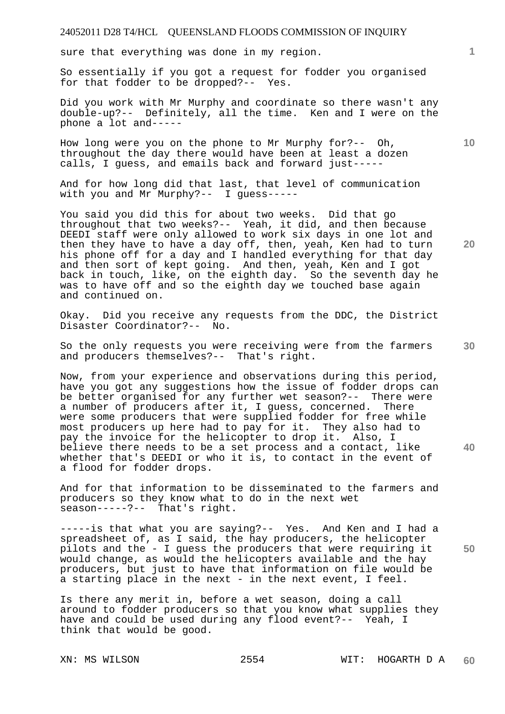sure that everything was done in my region.

So essentially if you got a request for fodder you organised for that fodder to be dropped?-- Yes.

Did you work with Mr Murphy and coordinate so there wasn't any double-up?-- Definitely, all the time. Ken and I were on the phone a lot and-----

How long were you on the phone to Mr Murphy for?-- Oh, throughout the day there would have been at least a dozen calls, I guess, and emails back and forward just-----

And for how long did that last, that level of communication with you and Mr Murphy?-- I guess-----

You said you did this for about two weeks. Did that go throughout that two weeks?-- Yeah, it did, and then because DEEDI staff were only allowed to work six days in one lot and then they have to have a day off, then, yeah, Ken had to turn his phone off for a day and I handled everything for that day and then sort of kept going. And then, yeah, Ken and I got back in touch, like, on the eighth day. So the seventh day he was to have off and so the eighth day we touched base again and continued on.

Okay. Did you receive any requests from the DDC, the District Disaster Coordinator?-- No.

So the only requests you were receiving were from the farmers and producers themselves?-- That's right.

Now, from your experience and observations during this period, have you got any suggestions how the issue of fodder drops can be better organised for any further wet season?-- There were a number of producers after it, I guess, concerned. There were some producers that were supplied fodder for free while most producers up here had to pay for it. They also had to pay the invoice for the helicopter to drop it. Also, I believe there needs to be a set process and a contact, like whether that's DEEDI or who it is, to contact in the event of a flood for fodder drops.

And for that information to be disseminated to the farmers and producers so they know what to do in the next wet season-----?-- That's right.

-----is that what you are saying?-- Yes. And Ken and I had a spreadsheet of, as I said, the hay producers, the helicopter pilots and the - I guess the producers that were requiring it would change, as would the helicopters available and the hay producers, but just to have that information on file would be a starting place in the next - in the next event, I feel.

Is there any merit in, before a wet season, doing a call around to fodder producers so that you know what supplies they have and could be used during any flood event?-- Yeah, I think that would be good.

**20** 

**10** 

**1**

**30** 

**40**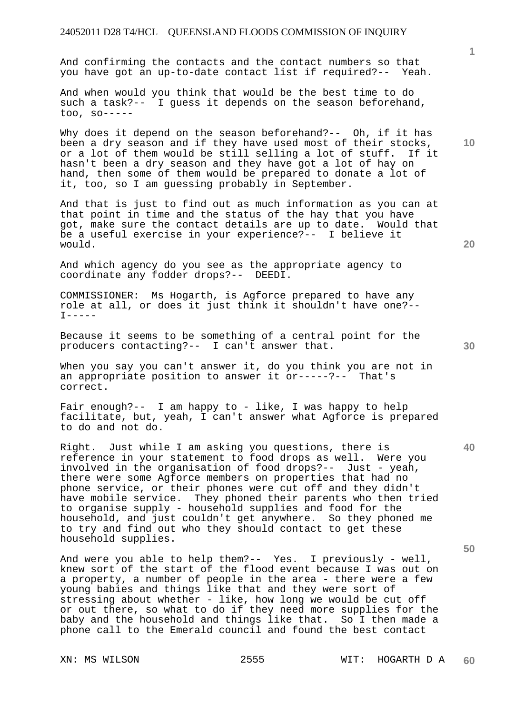And confirming the contacts and the contact numbers so that you have got an up-to-date contact list if required?-- Yeah.

And when would you think that would be the best time to do such a task?-- I guess it depends on the season beforehand, too, so-----

Why does it depend on the season beforehand?-- Oh, if it has been a dry season and if they have used most of their stocks, or a lot of them would be still selling a lot of stuff. If it hasn't been a dry season and they have got a lot of hay on hand, then some of them would be prepared to donate a lot of it, too, so I am guessing probably in September.

And that is just to find out as much information as you can at that point in time and the status of the hay that you have got, make sure the contact details are up to date. Would that be a useful exercise in your experience?-- I believe it would.

And which agency do you see as the appropriate agency to coordinate any fodder drops?-- DEEDI.

COMMISSIONER: Ms Hogarth, is Agforce prepared to have any role at all, or does it just think it shouldn't have one?--  $T-----$ 

Because it seems to be something of a central point for the producers contacting?-- I can't answer that.

When you say you can't answer it, do you think you are not in an appropriate position to answer it or-----?-- That's correct.

Fair enough?-- I am happy to - like, I was happy to help facilitate, but, yeah, I can't answer what Agforce is prepared to do and not do.

Right. Just while I am asking you questions, there is reference in your statement to food drops as well. Were you involved in the organisation of food drops?-- Just - yeah, there were some Agforce members on properties that had no phone service, or their phones were cut off and they didn't have mobile service. They phoned their parents who then tried to organise supply - household supplies and food for the household, and just couldn't get anywhere. So they phoned me to try and find out who they should contact to get these household supplies.

And were you able to help them?-- Yes. I previously - well, knew sort of the start of the flood event because I was out on a property, a number of people in the area - there were a few young babies and things like that and they were sort of stressing about whether - like, how long we would be cut off or out there, so what to do if they need more supplies for the baby and the household and things like that. So I then made a phone call to the Emerald council and found the best contact

**10** 

**1**

**40**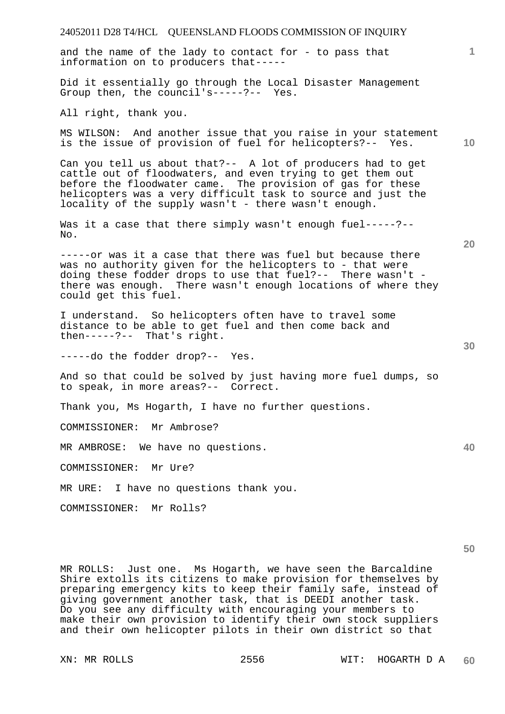| 24052011 D28 T4/HCL QUEENSLAND FLOODS COMMISSION OF INQUIRY                                                                                                                                                                                                                                                                                                                                    |                 |
|------------------------------------------------------------------------------------------------------------------------------------------------------------------------------------------------------------------------------------------------------------------------------------------------------------------------------------------------------------------------------------------------|-----------------|
| and the name of the lady to contact for - to pass that<br>information on to producers that-----                                                                                                                                                                                                                                                                                                | $\mathbf{1}$    |
| Did it essentially go through the Local Disaster Management<br>Group then, the council's-----?-- Yes.                                                                                                                                                                                                                                                                                          |                 |
| All right, thank you.                                                                                                                                                                                                                                                                                                                                                                          |                 |
| MS WILSON: And another issue that you raise in your statement<br>is the issue of provision of fuel for helicopters?-- Yes.                                                                                                                                                                                                                                                                     | 10 <sup>°</sup> |
| Can you tell us about that?-- A lot of producers had to get<br>cattle out of floodwaters, and even trying to get them out<br>before the floodwater came. The provision of gas for these<br>helicopters was a very difficult task to source and just the<br>locality of the supply wasn't - there wasn't enough.                                                                                |                 |
| Was it a case that there simply wasn't enough fuel-----?--<br>No.                                                                                                                                                                                                                                                                                                                              |                 |
| -----or was it a case that there was fuel but because there<br>was no authority given for the helicopters to - that were<br>doing these fodder drops to use that fuel?-- There wasn't -<br>there was enough. There wasn't enough locations of where they<br>could get this fuel.                                                                                                               | 20              |
| I understand. So helicopters often have to travel some<br>distance to be able to get fuel and then come back and<br>then-----?-- That's right.                                                                                                                                                                                                                                                 |                 |
| -----do the fodder drop?-- Yes.                                                                                                                                                                                                                                                                                                                                                                | 30              |
| And so that could be solved by just having more fuel dumps, so<br>to speak, in more areas?-- Correct.                                                                                                                                                                                                                                                                                          |                 |
| Thank you, Ms Hogarth, I have no further questions.                                                                                                                                                                                                                                                                                                                                            |                 |
| COMMISSIONER: Mr Ambrose?                                                                                                                                                                                                                                                                                                                                                                      |                 |
| MR AMBROSE: We have no questions.                                                                                                                                                                                                                                                                                                                                                              | 40              |
| COMMISSIONER: Mr Ure?                                                                                                                                                                                                                                                                                                                                                                          |                 |
| MR URE: I have no questions thank you.                                                                                                                                                                                                                                                                                                                                                         |                 |
| COMMISSIONER: Mr Rolls?                                                                                                                                                                                                                                                                                                                                                                        |                 |
|                                                                                                                                                                                                                                                                                                                                                                                                | 50              |
| MR ROLLS: Just one. Ms Hogarth, we have seen the Barcaldine<br>Shire extolls its citizens to make provision for themselves by<br>preparing emergency kits to keep their family safe, instead of<br>giving government another task, that is DEEDI another task.<br>Do you see any difficulty with encouraging your members to<br>make their own provision to identify their own stock suppliers |                 |

and their own helicopter pilots in their own district so that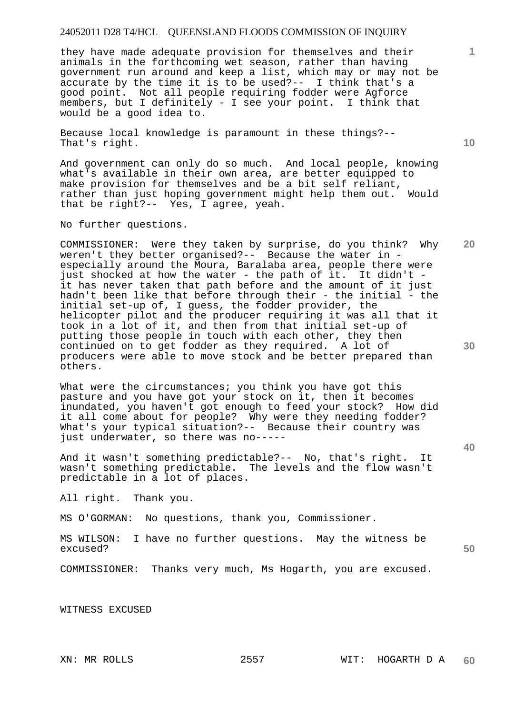they have made adequate provision for themselves and their animals in the forthcoming wet season, rather than having government run around and keep a list, which may or may not be accurate by the time it is to be used?-- I think that's a good point. Not all people requiring fodder were Agforce members, but I definitely - I see your point. I think that would be a good idea to.

Because local knowledge is paramount in these things?-- That's right.

And government can only do so much. And local people, knowing what's available in their own area, are better equipped to make provision for themselves and be a bit self reliant, rather than just hoping government might help them out. Would that be right?-- Yes, I agree, yeah.

No further questions.

COMMISSIONER: Were they taken by surprise, do you think? Why weren't they better organised?-- Because the water in especially around the Moura, Baralaba area, people there were just shocked at how the water - the path of it. It didn't it has never taken that path before and the amount of it just hadn't been like that before through their - the initial - the initial set-up of, I guess, the fodder provider, the helicopter pilot and the producer requiring it was all that it took in a lot of it, and then from that initial set-up of putting those people in touch with each other, they then continued on to get fodder as they required. A lot of producers were able to move stock and be better prepared than others.

What were the circumstances; you think you have got this pasture and you have got your stock on it, then it becomes inundated, you haven't got enough to feed your stock? How did it all come about for people? Why were they needing fodder? What's your typical situation?-- Because their country was just underwater, so there was no-----

And it wasn't something predictable?-- No, that's right. It wasn't something predictable. The levels and the flow wasn't predictable in a lot of places.

All right. Thank you.

MS O'GORMAN: No questions, thank you, Commissioner.

MS WILSON: I have no further questions. May the witness be excused?

COMMISSIONER: Thanks very much, Ms Hogarth, you are excused.

WITNESS EXCUSED

**10** 

**20** 

**30** 

**50**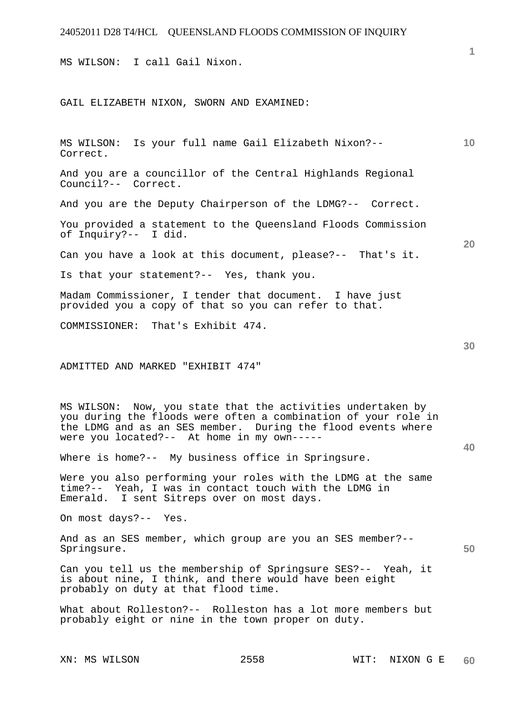MS WILSON: I call Gail Nixon.

GAIL ELIZABETH NIXON, SWORN AND EXAMINED:

MS WILSON: Is your full name Gail Elizabeth Nixon?-- Correct.

And you are a councillor of the Central Highlands Regional Council?-- Correct.

And you are the Deputy Chairperson of the LDMG?-- Correct.

You provided a statement to the Queensland Floods Commission of Inquiry?-- I did.

Can you have a look at this document, please?-- That's it.

Is that your statement?-- Yes, thank you.

Madam Commissioner, I tender that document. I have just provided you a copy of that so you can refer to that.

COMMISSIONER: That's Exhibit 474.

ADMITTED AND MARKED "EXHIBIT 474"

MS WILSON: Now, you state that the activities undertaken by you during the floods were often a combination of your role in the LDMG and as an SES member. During the flood events where were you located?-- At home in my own-----

Where is home?-- My business office in Springsure.

Were you also performing your roles with the LDMG at the same time?-- Yeah, I was in contact touch with the LDMG in Emerald. I sent Sitreps over on most days.

On most days?-- Yes.

And as an SES member, which group are you an SES member?-- Springsure.

Can you tell us the membership of Springsure SES?-- Yeah, it is about nine, I think, and there would have been eight probably on duty at that flood time.

What about Rolleston?-- Rolleston has a lot more members but probably eight or nine in the town proper on duty.

**10** 

**30** 

**20** 

**40**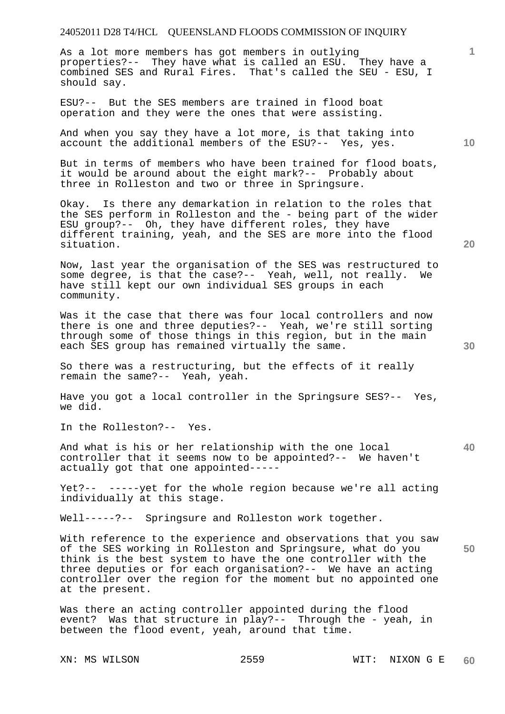As a lot more members has got members in outlying properties?-- They have what is called an ESU. They have a combined SES and Rural Fires. That's called the SEU - ESU, I should say.

ESU?-- But the SES members are trained in flood boat operation and they were the ones that were assisting.

And when you say they have a lot more, is that taking into account the additional members of the ESU?-- Yes, yes.

But in terms of members who have been trained for flood boats, it would be around about the eight mark?-- Probably about three in Rolleston and two or three in Springsure.

Okay. Is there any demarkation in relation to the roles that the SES perform in Rolleston and the - being part of the wider ESU group?-- Oh, they have different roles, they have different training, yeah, and the SES are more into the flood situation.

Now, last year the organisation of the SES was restructured to some degree, is that the case?-- Yeah, well, not really. We have still kept our own individual SES groups in each community.

Was it the case that there was four local controllers and now there is one and three deputies?-- Yeah, we're still sorting through some of those things in this region, but in the main each SES group has remained virtually the same.

So there was a restructuring, but the effects of it really remain the same?-- Yeah, yeah.

Have you got a local controller in the Springsure SES?-- Yes, we did.

In the Rolleston?-- Yes.

And what is his or her relationship with the one local controller that it seems now to be appointed?-- We haven't actually got that one appointed-----

Yet?-- -----yet for the whole region because we're all acting individually at this stage.

Well-----?-- Springsure and Rolleston work together.

With reference to the experience and observations that you saw of the SES working in Rolleston and Springsure, what do you think is the best system to have the one controller with the three deputies or for each organisation?-- We have an acting controller over the region for the moment but no appointed one at the present.

Was there an acting controller appointed during the flood event? Was that structure in play?-- Through the - yeah, in between the flood event, yeah, around that time.

**10** 

**20** 

**1**

**40**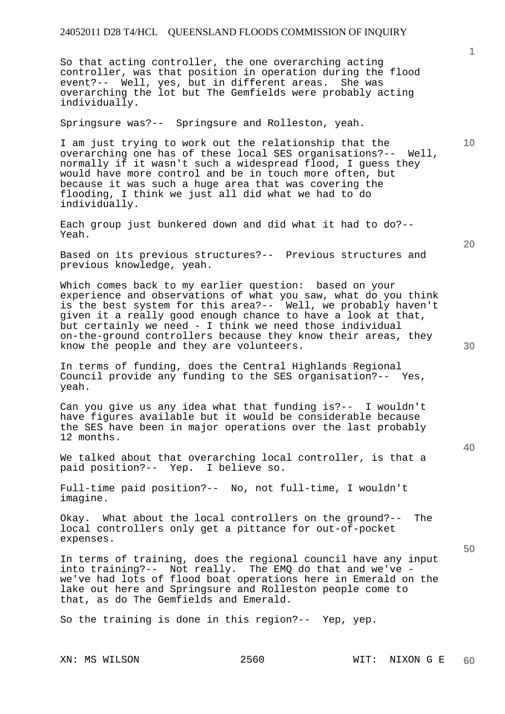So that acting controller, the one overarching acting controller, was that position in operation during the flood event?-- Well, yes, but in different areas. She was overarching the lot but The Gemfields were probably acting individually.

Springsure was?-- Springsure and Rolleston, yeah.

I am just trying to work out the relationship that the overarching one has of these local SES organisations?-- Well, normally if it wasn't such a widespread flood, I guess they would have more control and be in touch more often, but because it was such a huge area that was covering the flooding, I think we just all did what we had to do individually.

Each group just bunkered down and did what it had to do?-- Yeah.

Based on its previous structures?-- Previous structures and previous knowledge, yeah.

Which comes back to my earlier question: based on your experience and observations of what you saw, what do you think is the best system for this area?-- Well, we probably haven't given it a really good enough chance to have a look at that, but certainly we need - I think we need those individual on-the-ground controllers because they know their areas, they know the people and they are volunteers.

In terms of funding, does the Central Highlands Regional Council provide any funding to the SES organisation?-- Yes, yeah.

Can you give us any idea what that funding is?-- I wouldn't have figures available but it would be considerable because the SES have been in major operations over the last probably 12 months.

We talked about that overarching local controller, is that a paid position?-- Yep. I believe so.

Full-time paid position?-- No, not full-time, I wouldn't imagine.

Okay. What about the local controllers on the ground?-- The local controllers only get a pittance for out-of-pocket expenses.

In terms of training, does the regional council have any input into training?-- Not really. The EMQ do that and we've we've had lots of flood boat operations here in Emerald on the lake out here and Springsure and Rolleston people come to that, as do The Gemfields and Emerald.

So the training is done in this region?-- Yep, yep.

**20** 

**10** 

**40**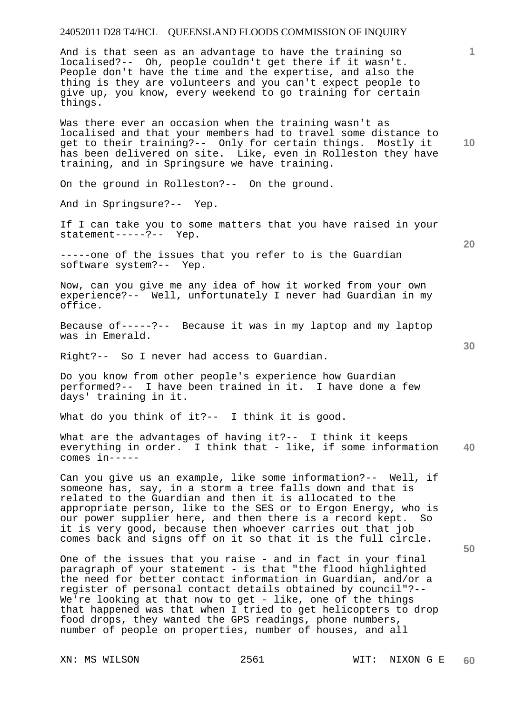And is that seen as an advantage to have the training so localised?-- Oh, people couldn't get there if it wasn't. People don't have the time and the expertise, and also the thing is they are volunteers and you can't expect people to give up, you know, every weekend to go training for certain things.

Was there ever an occasion when the training wasn't as localised and that your members had to travel some distance to get to their training?-- Only for certain things. Mostly it has been delivered on site. Like, even in Rolleston they have training, and in Springsure we have training.

On the ground in Rolleston?-- On the ground.

And in Springsure?-- Yep.

If I can take you to some matters that you have raised in your statement-----?-- Yep.

-----one of the issues that you refer to is the Guardian software system?-- Yep.

Now, can you give me any idea of how it worked from your own experience?-- Well, unfortunately I never had Guardian in my office.

Because of-----?-- Because it was in my laptop and my laptop was in Emerald.

Right?-- So I never had access to Guardian.

Do you know from other people's experience how Guardian performed?-- I have been trained in it. I have done a few days' training in it.

What do you think of it?-- I think it is good.

**40**  What are the advantages of having it ?-- I think it keeps everything in order. I think that - like, if some information comes in-----

Can you give us an example, like some information?-- Well, if someone has, say, in a storm a tree falls down and that is related to the Guardian and then it is allocated to the appropriate person, like to the SES or to Ergon Energy, who is our power supplier here, and then there is a record kept. So it is very good, because then whoever carries out that job comes back and signs off on it so that it is the full circle.

One of the issues that you raise - and in fact in your final paragraph of your statement - is that "the flood highlighted the need for better contact information in Guardian, and/or a register of personal contact details obtained by council"?-- We're looking at that now to get - like, one of the things that happened was that when I tried to get helicopters to drop food drops, they wanted the GPS readings, phone numbers, number of people on properties, number of houses, and all

**20** 

**10** 

**1**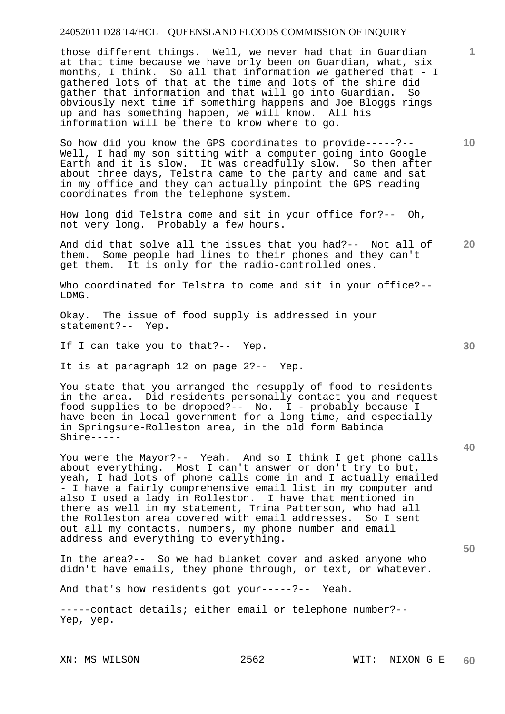those different things. Well, we never had that in Guardian at that time because we have only been on Guardian, what, six months, I think. So all that information we gathered that - I gathered lots of that at the time and lots of the shire did gather that information and that will go into Guardian. So obviously next time if something happens and Joe Bloggs rings up and has something happen, we will know. All his information will be there to know where to go.

So how did you know the GPS coordinates to provide-----?-- Well, I had my son sitting with a computer going into Google Earth and it is slow. It was dreadfully slow. So then after about three days, Telstra came to the party and came and sat in my office and they can actually pinpoint the GPS reading coordinates from the telephone system.

How long did Telstra come and sit in your office for?-- Oh, not very long. Probably a few hours.

**20**  And did that solve all the issues that you had?-- Not all of them. Some people had lines to their phones and they can't get them. It is only for the radio-controlled ones. It is only for the radio-controlled ones.

Who coordinated for Telstra to come and sit in your office?--LDMG.

Okay. The issue of food supply is addressed in your statement?-- Yep.

If I can take you to that?-- Yep.

It is at paragraph 12 on page 2?-- Yep.

You state that you arranged the resupply of food to residents in the area. Did residents personally contact you and request food supplies to be dropped?-- No. I - probably because I have been in local government for a long time, and especially in Springsure-Rolleston area, in the old form Babinda Shire-----

You were the Mayor?-- Yeah. And so I think I get phone calls about everything. Most I can't answer or don't try to but, yeah, I had lots of phone calls come in and I actually emailed - I have a fairly comprehensive email list in my computer and also I used a lady in Rolleston. I have that mentioned in there as well in my statement, Trina Patterson, who had all the Rolleston area covered with email addresses. So I sent out all my contacts, numbers, my phone number and email address and everything to everything.

In the area?-- So we had blanket cover and asked anyone who didn't have emails, they phone through, or text, or whatever.

And that's how residents got your-----?-- Yeah.

-----contact details; either email or telephone number?-- Yep, yep.

**40** 

**50** 

**10**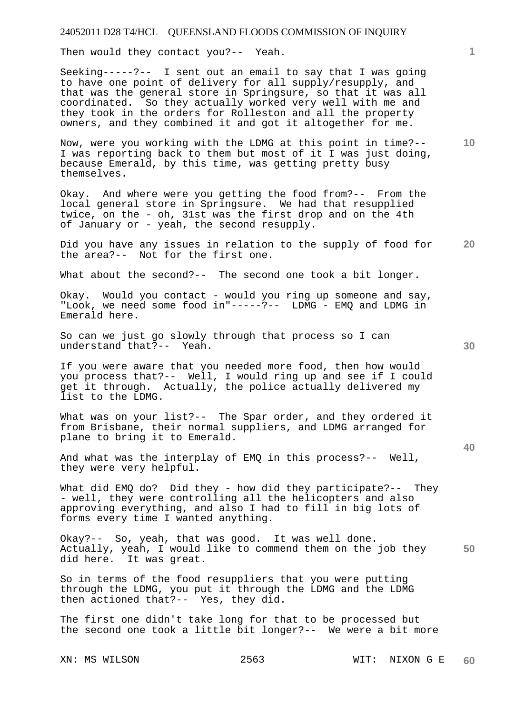Then would they contact you?-- Yeah.

Seeking-----?-- I sent out an email to say that I was going to have one point of delivery for all supply/resupply, and that was the general store in Springsure, so that it was all coordinated. So they actually worked very well with me and they took in the orders for Rolleston and all the property owners, and they combined it and got it altogether for me.

Now, were you working with the LDMG at this point in time?-- I was reporting back to them but most of it I was just doing, because Emerald, by this time, was getting pretty busy themselves.

Okay. And where were you getting the food from?-- From the local general store in Springsure. We had that resupplied twice, on the - oh, 31st was the first drop and on the 4th of January or - yeah, the second resupply.

**20**  Did you have any issues in relation to the supply of food for the area?-- Not for the first one.

What about the second?-- The second one took a bit longer.

Okay. Would you contact - would you ring up someone and say, "Look, we need some food in"-----?-- LDMG - EMQ and LDMG in Emerald here.

So can we just go slowly through that process so I can understand that?-- Yeah.

If you were aware that you needed more food, then how would you process that?-- Well, I would ring up and see if I could get it through. Actually, the police actually delivered my list to the LDMG.

What was on your list?-- The Spar order, and they ordered it from Brisbane, their normal suppliers, and LDMG arranged for plane to bring it to Emerald.

And what was the interplay of EMQ in this process?-- Well, they were very helpful.

What did EMQ do? Did they - how did they participate?-- They - well, they were controlling all the helicopters and also approving everything, and also I had to fill in big lots of forms every time I wanted anything.

**50**  Okay?-- So, yeah, that was good. It was well done. Actually, yeah, I would like to commend them on the job they did here. It was great.

So in terms of the food resuppliers that you were putting through the LDMG, you put it through the LDMG and the LDMG then actioned that?-- Yes, they did.

The first one didn't take long for that to be processed but the second one took a little bit longer?-- We were a bit more

**30** 

**40** 

**10**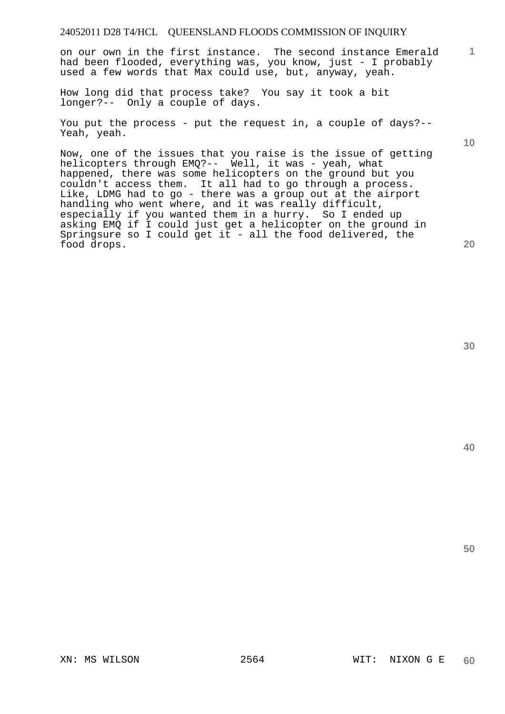on our own in the first instance. The second instance Emerald had been flooded, everything was, you know, just - I probably used a few words that Max could use, but, anyway, yeah.

How long did that process take? You say it took a bit longer?-- Only a couple of days.

You put the process - put the request in, a couple of days?-- Yeah, yeah.

Now, one of the issues that you raise is the issue of getting helicopters through EMQ?-- Well, it was - yeah, what happened, there was some helicopters on the ground but you couldn't access them. It all had to go through a process. Like, LDMG had to go - there was a group out at the airport handling who went where, and it was really difficult, especially if you wanted them in a hurry. So I ended up asking EMQ if I could just get a helicopter on the ground in Springsure so I could get it - all the food delivered, the food drops.

**30** 

**40** 

**50** 

**1**

**10**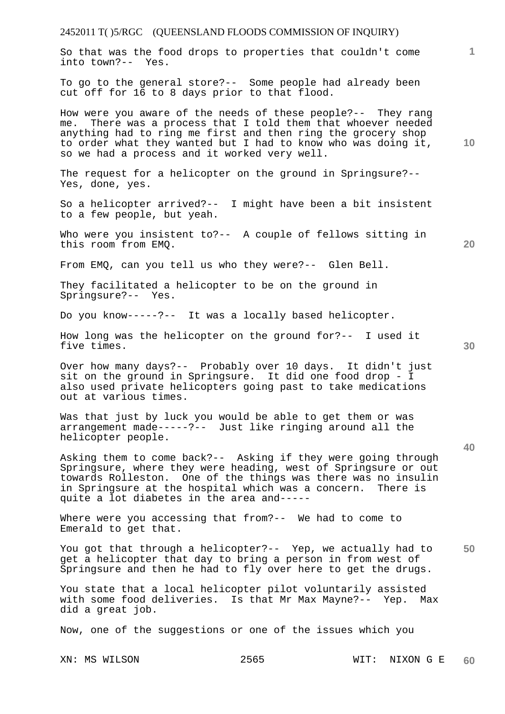### 2452011 T( )5/RGC (QUEENSLAND FLOODS COMMISSION OF INQUIRY) **1 10 20 30 40 50**  So that was the food drops to properties that couldn't come into town?-- Yes. To go to the general store?-- Some people had already been cut off for 16 to 8 days prior to that flood. How were you aware of the needs of these people?-- They rang me. There was a process that I told them that whoever needed anything had to ring me first and then ring the grocery shop to order what they wanted but I had to know who was doing it, so we had a process and it worked very well. The request for a helicopter on the ground in Springsure?-- Yes, done, yes. So a helicopter arrived?-- I might have been a bit insistent to a few people, but yeah. Who were you insistent to?-- A couple of fellows sitting in this room from EMQ. From EMQ, can you tell us who they were?-- Glen Bell. They facilitated a helicopter to be on the ground in Springsure?-- Yes. Do you know-----?-- It was a locally based helicopter. How long was the helicopter on the ground for?-- I used it five times. Over how many days?-- Probably over 10 days. It didn't just sit on the ground in Springsure. It did one food drop - I also used private helicopters going past to take medications out at various times. Was that just by luck you would be able to get them or was arrangement made-----?-- Just like ringing around all the helicopter people. Asking them to come back?-- Asking if they were going through Springsure, where they were heading, west of Springsure or out towards Rolleston. One of the things was there was no insulin in Springsure at the hospital which was a concern. There is quite a lot diabetes in the area and----- Where were you accessing that from?-- We had to come to Emerald to get that. You got that through a helicopter?-- Yep, we actually had to get a helicopter that day to bring a person in from west of Springsure and then he had to fly over here to get the drugs. You state that a local helicopter pilot voluntarily assisted with some food deliveries. Is that Mr Max Mayne?-- Yep. Max did a great job.

Now, one of the suggestions or one of the issues which you

XN: MS WILSON 2565 WIT: NIXON G E **60**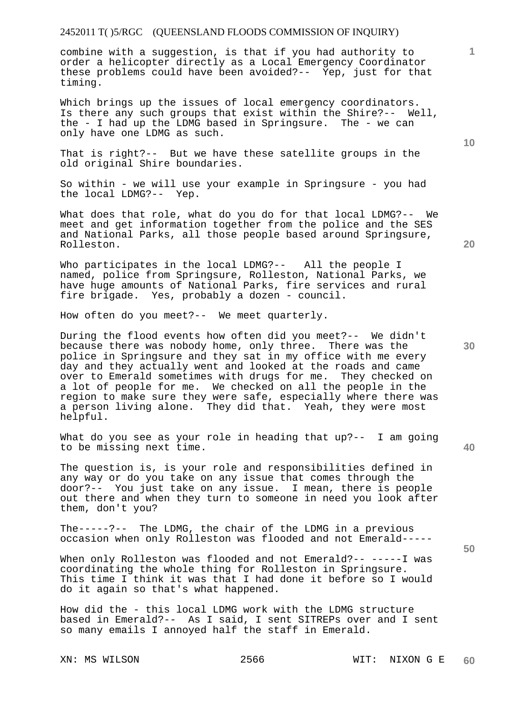combine with a suggestion, is that if you had authority to order a helicopter directly as a Local Emergency Coordinator these problems could have been avoided?-- Yep, just for that timing.

Which brings up the issues of local emergency coordinators. Is there any such groups that exist within the Shire?-- Well, the - I had up the LDMG based in Springsure. The - we can only have one LDMG as such.

That is right?-- But we have these satellite groups in the old original Shire boundaries.

So within - we will use your example in Springsure - you had the local LDMG?-- Yep.

What does that role, what do you do for that local LDMG?-- We meet and get information together from the police and the SES and National Parks, all those people based around Springsure, Rolleston.

Who participates in the local LDMG?-- All the people I named, police from Springsure, Rolleston, National Parks, we have huge amounts of National Parks, fire services and rural fire brigade. Yes, probably a dozen - council.

How often do you meet?-- We meet quarterly.

During the flood events how often did you meet?-- We didn't because there was nobody home, only three. There was the police in Springsure and they sat in my office with me every day and they actually went and looked at the roads and came over to Emerald sometimes with drugs for me. They checked on a lot of people for me. We checked on all the people in the region to make sure they were safe, especially where there was a person living alone. They did that. Yeah, they were most helpful.

What do you see as your role in heading that up?-- I am going to be missing next time.

The question is, is your role and responsibilities defined in any way or do you take on any issue that comes through the door?-- You just take on any issue. I mean, there is people out there and when they turn to someone in need you look after them, don't you?

The-----?-- The LDMG, the chair of the LDMG in a previous occasion when only Rolleston was flooded and not Emerald-----

When only Rolleston was flooded and not Emerald?-- -----I was coordinating the whole thing for Rolleston in Springsure. This time I think it was that I had done it before so I would do it again so that's what happened.

How did the - this local LDMG work with the LDMG structure based in Emerald?-- As I said, I sent SITREPs over and I sent so many emails I annoyed half the staff in Emerald.

**20** 

**10** 

**1**

**30** 

**50**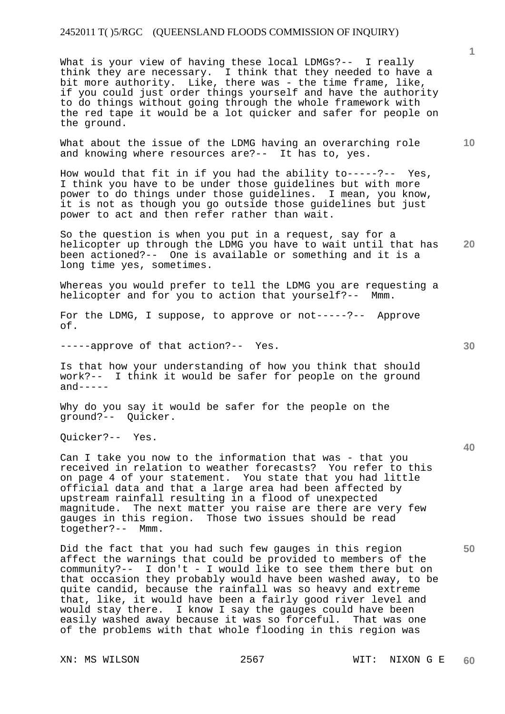What is your view of having these local LDMGs?-- I really think they are necessary. I think that they needed to have a bit more authority. Like, there was - the time frame, like, if you could just order things yourself and have the authority to do things without going through the whole framework with the red tape it would be a lot quicker and safer for people on the ground.

What about the issue of the LDMG having an overarching role and knowing where resources are?-- It has to, yes.

How would that fit in if you had the ability  $to---?--$  Yes, I think you have to be under those guidelines but with more power to do things under those guidelines. I mean, you know, it is not as though you go outside those quidelines but just power to act and then refer rather than wait.

**20**  So the question is when you put in a request, say for a helicopter up through the LDMG you have to wait until that has been actioned?-- One is available or something and it is a long time yes, sometimes.

Whereas you would prefer to tell the LDMG you are requesting a helicopter and for you to action that yourself?-- Mmm.

For the LDMG, I suppose, to approve or not-----?-- Approve of.

-----approve of that action?-- Yes.

Is that how your understanding of how you think that should work?-- I think it would be safer for people on the ground  $and-----$ 

Why do you say it would be safer for the people on the ground?-- Quicker.

Quicker?-- Yes.

Can I take you now to the information that was - that you received in relation to weather forecasts? You refer to this on page 4 of your statement. You state that you had little official data and that a large area had been affected by upstream rainfall resulting in a flood of unexpected magnitude. The next matter you raise are there are very few gauges in this region. Those two issues should be read together?-- Mmm.

Did the fact that you had such few gauges in this region affect the warnings that could be provided to members of the community?-- I don't - I would like to see them there but on that occasion they probably would have been washed away, to be quite candid, because the rainfall was so heavy and extreme that, like, it would have been a fairly good river level and would stay there. I know I say the gauges could have been easily washed away because it was so forceful. That was one of the problems with that whole flooding in this region was

**40** 

**50** 

**10**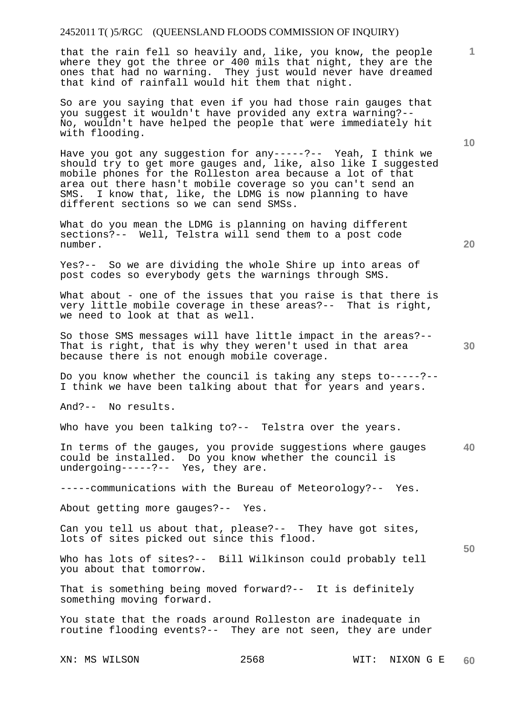that the rain fell so heavily and, like, you know, the people where they got the three or 400 mils that night, they are the ones that had no warning. They just would never have dreamed that kind of rainfall would hit them that night.

So are you saying that even if you had those rain gauges that you suggest it wouldn't have provided any extra warning?-- No, wouldn't have helped the people that were immediately hit with flooding.

Have you got any suggestion for any-----?-- Yeah, I think we should try to get more gauges and, like, also like I suggested mobile phones for the Rolleston area because a lot of that area out there hasn't mobile coverage so you can't send an SMS. I know that, like, the LDMG is now planning to have different sections so we can send SMSs.

What do you mean the LDMG is planning on having different sections?-- Well, Telstra will send them to a post code number.

Yes?-- So we are dividing the whole Shire up into areas of post codes so everybody gets the warnings through SMS.

What about - one of the issues that you raise is that there is very little mobile coverage in these areas?-- That is right, we need to look at that as well.

So those SMS messages will have little impact in the areas?-- That is right, that is why they weren't used in that area because there is not enough mobile coverage.

Do you know whether the council is taking any steps to-----?-- I think we have been talking about that for years and years.

And?-- No results.

Who have you been talking to?-- Telstra over the years.

**40**  In terms of the gauges, you provide suggestions where gauges could be installed. Do you know whether the council is undergoing-----?-- Yes, they are.

-----communications with the Bureau of Meteorology?-- Yes.

About getting more gauges?-- Yes.

Can you tell us about that, please?-- They have got sites, lots of sites picked out since this flood.

Who has lots of sites?-- Bill Wilkinson could probably tell you about that tomorrow.

That is something being moved forward?-- It is definitely something moving forward.

You state that the roads around Rolleston are inadequate in routine flooding events?-- They are not seen, they are under

**20** 

**10** 

**1**

**30**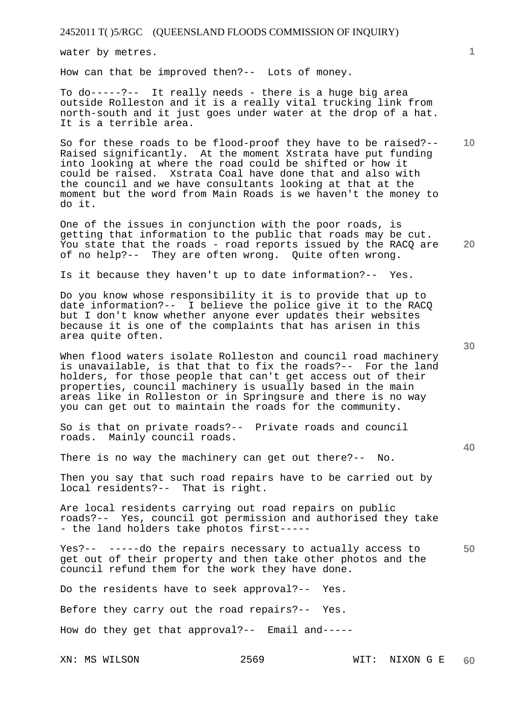water by metres.

How can that be improved then?-- Lots of money.

To do-----?-- It really needs - there is a huge big area outside Rolleston and it is a really vital trucking link from north-south and it just goes under water at the drop of a hat. It is a terrible area.

So for these roads to be flood-proof they have to be raised?-- Raised significantly. At the moment Xstrata have put funding into looking at where the road could be shifted or how it could be raised. Xstrata Coal have done that and also with the council and we have consultants looking at that at the moment but the word from Main Roads is we haven't the money to do it.

One of the issues in conjunction with the poor roads, is getting that information to the public that roads may be cut. You state that the roads - road reports issued by the RACQ are of no help?-- They are often wrong. Quite often wrong.

Is it because they haven't up to date information?-- Yes.

Do you know whose responsibility it is to provide that up to date information?-- I believe the police give it to the RACQ but I don't know whether anyone ever updates their websites because it is one of the complaints that has arisen in this area quite often.

When flood waters isolate Rolleston and council road machinery is unavailable, is that that to fix the roads?-- For the land holders, for those people that can't get access out of their properties, council machinery is usually based in the main areas like in Rolleston or in Springsure and there is no way you can get out to maintain the roads for the community.

So is that on private roads?-- Private roads and council roads. Mainly council roads.

There is no way the machinery can get out there?-- No.

Then you say that such road repairs have to be carried out by local residents?-- That is right.

Are local residents carrying out road repairs on public roads?-- Yes, council got permission and authorised they take - the land holders take photos first-----

**50**  Yes?-- -----do the repairs necessary to actually access to get out of their property and then take other photos and the council refund them for the work they have done.

Do the residents have to seek approval?-- Yes.

Before they carry out the road repairs?-- Yes.

How do they get that approval?-- Email and-----

**30** 

**20** 

**40** 

**10**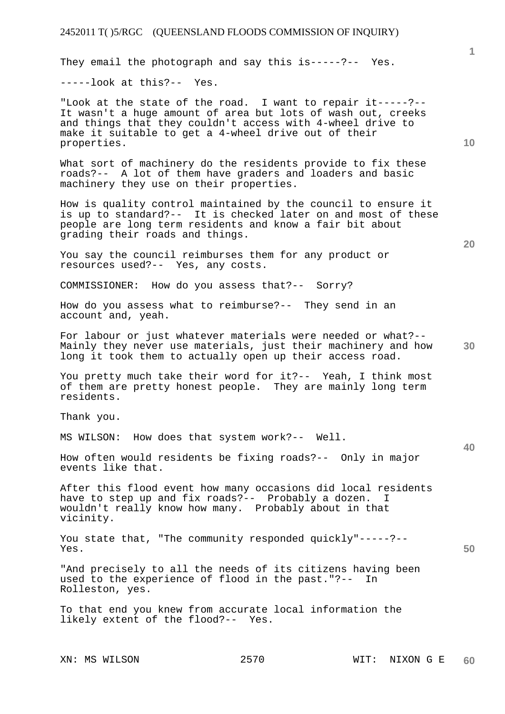They email the photograph and say this is-----?-- Yes.

-----look at this?-- Yes.

"Look at the state of the road. I want to repair it-----?-- It wasn't a huge amount of area but lots of wash out, creeks and things that they couldn't access with 4-wheel drive to make it suitable to get a 4-wheel drive out of their properties.

What sort of machinery do the residents provide to fix these roads?-- A lot of them have graders and loaders and basic machinery they use on their properties.

How is quality control maintained by the council to ensure it is up to standard?-- It is checked later on and most of these people are long term residents and know a fair bit about grading their roads and things.

You say the council reimburses them for any product or resources used?-- Yes, any costs.

COMMISSIONER: How do you assess that?-- Sorry?

How do you assess what to reimburse?-- They send in an account and, yeah.

For labour or just whatever materials were needed or what?-- Mainly they never use materials, just their machinery and how long it took them to actually open up their access road.

You pretty much take their word for it?-- Yeah, I think most of them are pretty honest people. They are mainly long term residents.

Thank you.

MS WILSON: How does that system work?-- Well.

How often would residents be fixing roads?-- Only in major events like that.

After this flood event how many occasions did local residents have to step up and fix roads?-- Probably a dozen. I wouldn't really know how many. Probably about in that vicinity.

You state that, "The community responded quickly"-----?-- Yes.

"And precisely to all the needs of its citizens having been used to the experience of flood in the past."?-- In Rolleston, yes.

To that end you knew from accurate local information the likely extent of the flood?-- Yes.

**20** 

**40** 

**50** 

**10**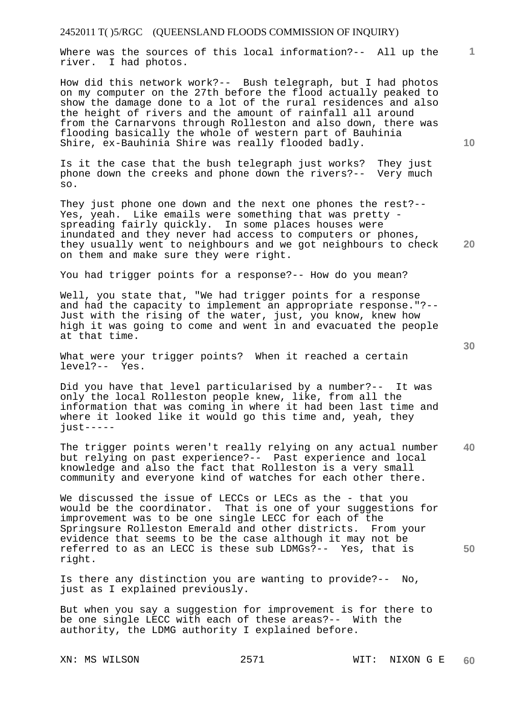Where was the sources of this local information?-- All up the river. I had photos.

How did this network work?-- Bush telegraph, but I had photos on my computer on the 27th before the flood actually peaked to show the damage done to a lot of the rural residences and also the height of rivers and the amount of rainfall all around from the Carnarvons through Rolleston and also down, there was flooding basically the whole of western part of Bauhinia Shire, ex-Bauhinia Shire was really flooded badly.

Is it the case that the bush telegraph just works? They just phone down the creeks and phone down the rivers?-- Very much so.

They just phone one down and the next one phones the rest?-- Yes, yeah. Like emails were something that was pretty spreading fairly quickly. In some places houses were inundated and they never had access to computers or phones, they usually went to neighbours and we got neighbours to check on them and make sure they were right.

You had trigger points for a response?-- How do you mean?

Well, you state that, "We had trigger points for a response and had the capacity to implement an appropriate response."?-- Just with the rising of the water, just, you know, knew how high it was going to come and went in and evacuated the people at that time.

What were your trigger points? When it reached a certain level?-- Yes.

Did you have that level particularised by a number?-- It was only the local Rolleston people knew, like, from all the information that was coming in where it had been last time and where it looked like it would go this time and, yeah, they just-----

**40**  The trigger points weren't really relying on any actual number but relying on past experience?-- Past experience and local knowledge and also the fact that Rolleston is a very small community and everyone kind of watches for each other there.

We discussed the issue of LECCs or LECs as the - that you would be the coordinator. That is one of your suggestions for improvement was to be one single LECC for each of the Springsure Rolleston Emerald and other districts. From your evidence that seems to be the case although it may not be referred to as an LECC is these sub LDMGs?-- Yes, that is right.

Is there any distinction you are wanting to provide?-- No, just as I explained previously.

But when you say a suggestion for improvement is for there to be one single LECC with each of these areas?-- With the authority, the LDMG authority I explained before.

**10** 

**1**

**30** 

**20**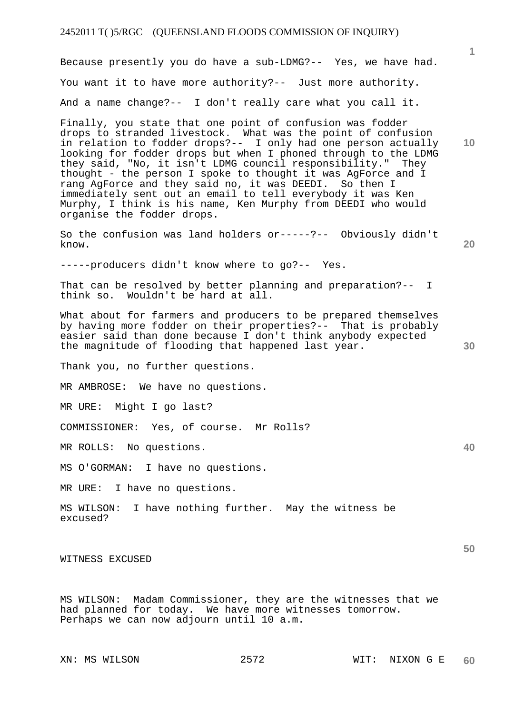Because presently you do have a sub-LDMG?-- Yes, we have had. You want it to have more authority?-- Just more authority. And a name change?-- I don't really care what you call it.

Finally, you state that one point of confusion was fodder drops to stranded livestock. What was the point of confusion in relation to fodder drops?-- I only had one person actually looking for fodder drops but when I phoned through to the LDMG they said, "No, it isn't LDMG council responsibility." They thought - the person I spoke to thought it was AgForce and I rang AgForce and they said no, it was DEEDI. So then I immediately sent out an email to tell everybody it was Ken Murphy, I think is his name, Ken Murphy from DEEDI who would organise the fodder drops.

So the confusion was land holders or-----?-- Obviously didn't know.

-----producers didn't know where to go?-- Yes.

That can be resolved by better planning and preparation?-- I think so. Wouldn't be hard at all.

What about for farmers and producers to be prepared themselves by having more fodder on their properties?-- That is probably easier said than done because I don't think anybody expected the magnitude of flooding that happened last year.

Thank you, no further questions.

MR AMBROSE: We have no questions.

MR URE: Might I go last?

COMMISSIONER: Yes, of course. Mr Rolls?

MR ROLLS: No questions.

MS O'GORMAN: I have no questions.

MR URE: I have no questions.

MS WILSON: I have nothing further. May the witness be excused?

WITNESS EXCUSED

MS WILSON: Madam Commissioner, they are the witnesses that we had planned for today. We have more witnesses tomorrow. Perhaps we can now adjourn until 10 a.m.

**30** 

**20** 

**1**

**10** 

**40**